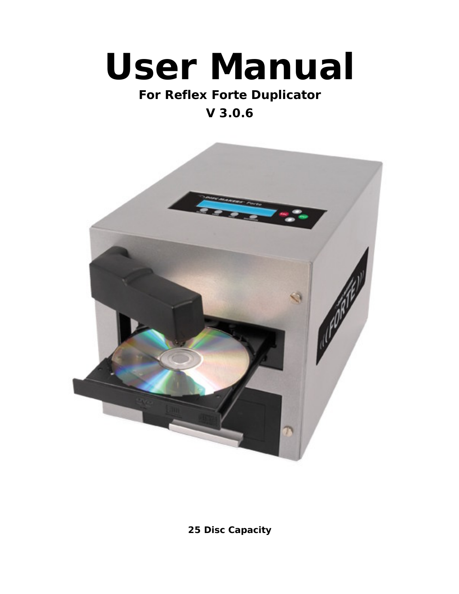# **User Manual**

# **For Reflex Forte Duplicator**

# **V 3.0.6**



**25 Disc Capacity**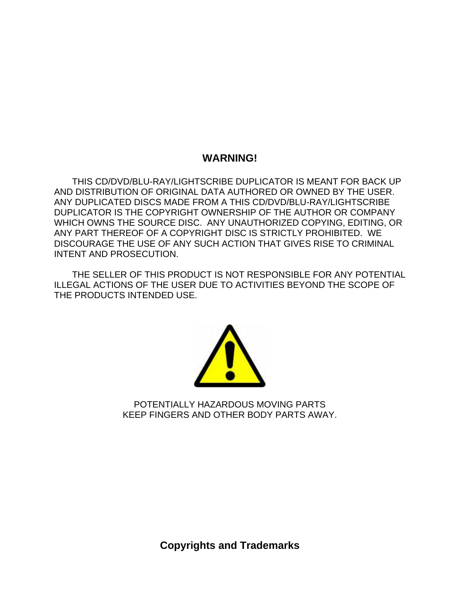### **WARNING!**

THIS CD/DVD/BLU-RAY/LIGHTSCRIBE DUPLICATOR IS MEANT FOR BACK UP AND DISTRIBUTION OF ORIGINAL DATA AUTHORED OR OWNED BY THE USER. ANY DUPLICATED DISCS MADE FROM A THIS CD/DVD/BLU-RAY/LIGHTSCRIBE DUPLICATOR IS THE COPYRIGHT OWNERSHIP OF THE AUTHOR OR COMPANY WHICH OWNS THE SOURCE DISC. ANY UNAUTHORIZED COPYING, EDITING, OR ANY PART THEREOF OF A COPYRIGHT DISC IS STRICTLY PROHIBITED. WE DISCOURAGE THE USE OF ANY SUCH ACTION THAT GIVES RISE TO CRIMINAL INTENT AND PROSECUTION.

THE SELLER OF THIS PRODUCT IS NOT RESPONSIBLE FOR ANY POTENTIAL ILLEGAL ACTIONS OF THE USER DUE TO ACTIVITIES BEYOND THE SCOPE OF THE PRODUCTS INTENDED USE.



POTENTIALLY HAZARDOUS MOVING PARTS KEEP FINGERS AND OTHER BODY PARTS AWAY.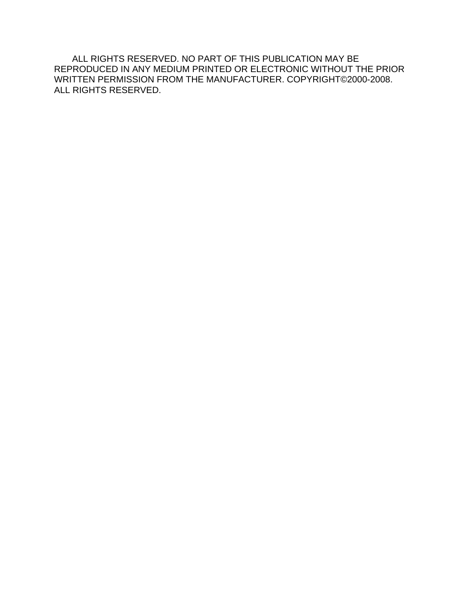ALL RIGHTS RESERVED. NO PART OF THIS PUBLICATION MAY BE REPRODUCED IN ANY MEDIUM PRINTED OR ELECTRONIC WITHOUT THE PRIOR WRITTEN PERMISSION FROM THE MANUFACTURER. COPYRIGHT©2000-2008. ALL RIGHTS RESERVED.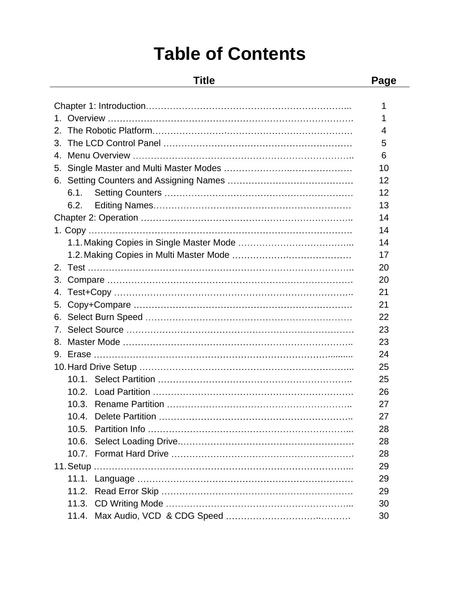# **Table of Contents**

#### **Title Page**

| Chapter 1: Introduction.           |    |
|------------------------------------|----|
| Overview                           |    |
|                                    |    |
|                                    |    |
|                                    |    |
|                                    |    |
|                                    |    |
|                                    |    |
|                                    |    |
|                                    |    |
|                                    |    |
|                                    |    |
|                                    |    |
|                                    |    |
| Compare                            | 20 |
|                                    |    |
|                                    |    |
| 6. Select Burn Speed.              | 22 |
| Select Source                      | 23 |
|                                    | 23 |
| Erase .                            | 24 |
| 10. Hard Drive Setup.              |    |
|                                    | 25 |
| Load Partition.<br>10.2.           | 26 |
| <b>Rename Partition</b> .<br>10.3. |    |
| Delete Partition                   |    |
|                                    |    |
|                                    | 28 |
|                                    | 28 |
|                                    | 29 |
|                                    | 29 |
|                                    | 29 |
|                                    | 30 |
|                                    | 30 |
|                                    |    |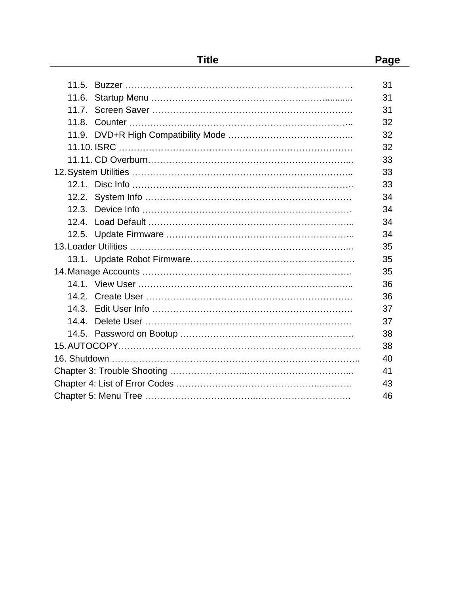| 11.5. Buzzer        | 31 |
|---------------------|----|
| 11.6.               | 31 |
|                     | 31 |
| 11.8.               | 32 |
|                     | 32 |
|                     | 32 |
|                     | 33 |
|                     | 33 |
|                     | 33 |
|                     | 34 |
|                     | 34 |
| <b>Load Default</b> | 34 |
|                     | 34 |
|                     | 35 |
|                     | 35 |
|                     | 35 |
|                     | 36 |
|                     | 36 |
|                     | 37 |
|                     | 37 |
|                     | 38 |
|                     | 38 |
| 16. Shutdown.       |    |
|                     | 41 |
|                     | 43 |
|                     |    |

**Title Page**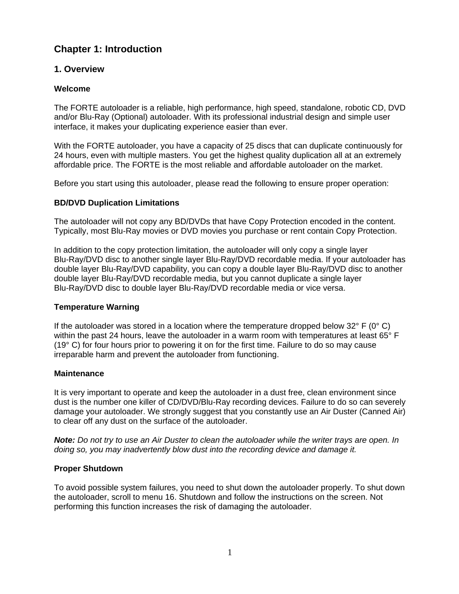### **Chapter 1: Introduction**

### **1. Overview**

#### **Welcome**

The FORTE autoloader is a reliable, high performance, high speed, standalone, robotic CD, DVD and/or Blu-Ray (Optional) autoloader. With its professional industrial design and simple user interface, it makes your duplicating experience easier than ever.

With the FORTE autoloader, you have a capacity of 25 discs that can duplicate continuously for 24 hours, even with multiple masters. You get the highest quality duplication all at an extremely affordable price. The FORTE is the most reliable and affordable autoloader on the market.

Before you start using this autoloader, please read the following to ensure proper operation:

#### **BD/DVD Duplication Limitations**

The autoloader will not copy any BD/DVDs that have Copy Protection encoded in the content. Typically, most Blu-Ray movies or DVD movies you purchase or rent contain Copy Protection.

In addition to the copy protection limitation, the autoloader will only copy a single layer Blu-Ray/DVD disc to another single layer Blu-Ray/DVD recordable media. If your autoloader has double layer Blu-Ray/DVD capability, you can copy a double layer Blu-Ray/DVD disc to another double layer Blu-Ray/DVD recordable media, but you cannot duplicate a single layer Blu-Ray/DVD disc to double layer Blu-Ray/DVD recordable media or vice versa.

#### **Temperature Warning**

If the autoloader was stored in a location where the temperature dropped below  $32^{\circ}$  F (0° C) within the past 24 hours, leave the autoloader in a warm room with temperatures at least 65° F (19° C) for four hours prior to powering it on for the first time. Failure to do so may cause irreparable harm and prevent the autoloader from functioning.

#### **Maintenance**

It is very important to operate and keep the autoloader in a dust free, clean environment since dust is the number one killer of CD/DVD/Blu-Ray recording devices. Failure to do so can severely damage your autoloader. We strongly suggest that you constantly use an Air Duster (Canned Air) to clear off any dust on the surface of the autoloader.

**Note:** Do not try to use an Air Duster to clean the autoloader while the writer trays are open. In doing so, you may inadvertently blow dust into the recording device and damage it.

#### **Proper Shutdown**

To avoid possible system failures, you need to shut down the autoloader properly. To shut down the autoloader, scroll to menu 16. Shutdown and follow the instructions on the screen. Not performing this function increases the risk of damaging the autoloader.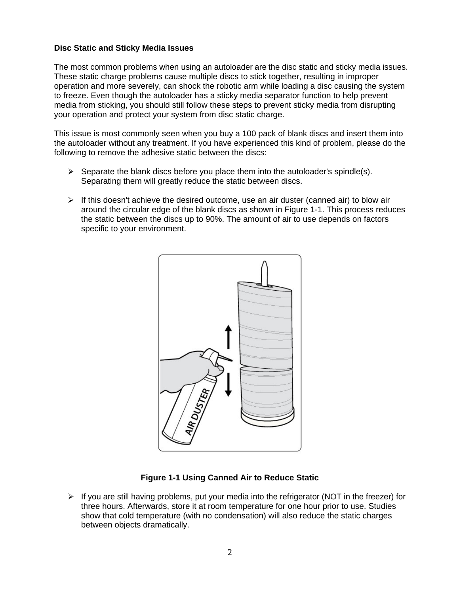#### **Disc Static and Sticky Media Issues**

The most common problems when using an autoloader are the disc static and sticky media issues. These static charge problems cause multiple discs to stick together, resulting in improper operation and more severely, can shock the robotic arm while loading a disc causing the system to freeze. Even though the autoloader has a sticky media separator function to help prevent media from sticking, you should still follow these steps to prevent sticky media from disrupting your operation and protect your system from disc static charge.<br>This issue is most commonly seen when you buy a 100 pack of blank discs and insert them into

the autoloader without any treatment. If you have experienced this kind of problem, please do the following to remove the adhesive static between the discs:

- $\triangleright$  Separate the blank discs before you place them into the autoloader's spindle(s). Separating them will greatly reduce the static between discs.
- $\triangleright$  If this doesn't achieve the desired outcome, use an air duster (canned air) to blow air around the circular edge of the blank discs as shown in Figure 1-1. This process reduces the static between the discs up to 90%. The amount of air to use depends on factors specific to your environment.



**Figure 1-1 Using Canned Air to Reduce Static**

 $\triangleright$  If you are still having problems, put your media into the refrigerator (NOT in the freezer) for three hours. Afterwards, store it at room temperature for one hour prior to use. Studies show that cold temperature (with no condensation) will also reduce the static charges between objects dramatically.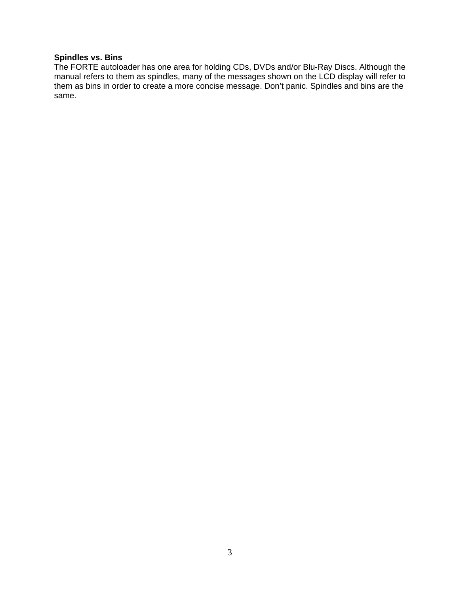### **Spindles vs. Bins**

The FORTE autoloader has one area for holding CDs, DVDs and/or Blu-Ray Discs. Although the manual refers to them as spindles, many of the messages shown on the LCD display will refer to them as bins in order to create a more concise message. Don't panic. Spindles and bins are the same.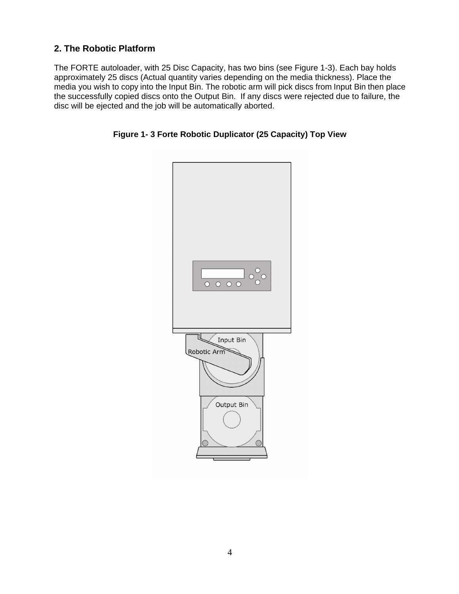### **2. The Robotic Platform**

The FORTE autoloader, with 25 Disc Capacity, has two bins (see Figure 1-3). Each bay holds approximately 25 discs (Actual quantity varies depending on the media thickness). Place the media you wish to copy into the Input Bin. The robotic arm will pick discs from Input Bin then place the successfully copied discs onto the Output Bin. If any discs were rejected due to failure, the disc will be ejected and the job will be automatically aborted.



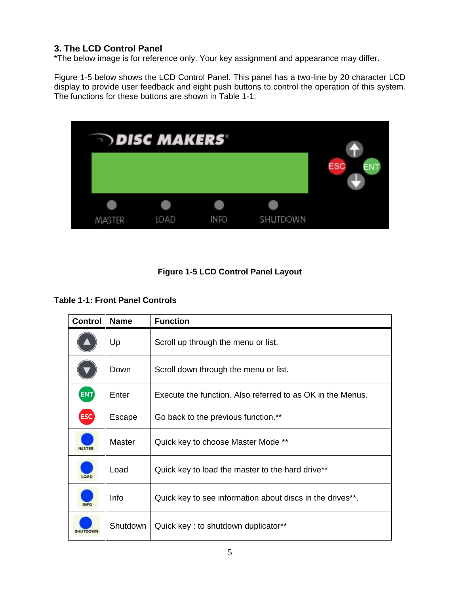### **3. The LCD Control Panel**

\*The below image is for reference only. Your key assignment and appearance may differ.

Figure 1-5 below shows the LCD Control Panel. This panel has a two-line by 20 character LCD display to provide user feedback and eight push buttons to control the operation of this system. The functions for these buttons are shown in Table 1-1.



### **Figure 1-5 LCD Control Panel Layout**

#### **Table 1-1: Front Panel Controls**

| Control Name     |          | <b>Function</b>                                            |
|------------------|----------|------------------------------------------------------------|
| $\blacktriangle$ | Up       | Scroll up through the menu or list.                        |
| <b>V</b>         | Down     | Scroll down through the menu or list.                      |
| ENT              | Enter    | Execute the function. Also referred to as OK in the Menus. |
| ESC              | Escape   | Go back to the previous function.**                        |
| <b>MASTER</b>    | Master   | Quick key to choose Master Mode **                         |
| LOAD             | Load     | Quick key to load the master to the hard drive**           |
| <b>INFO</b>      | Info     | Quick key to see information about discs in the drives**.  |
| SHUTDOWN         | Shutdown | Quick key: to shutdown duplicator**                        |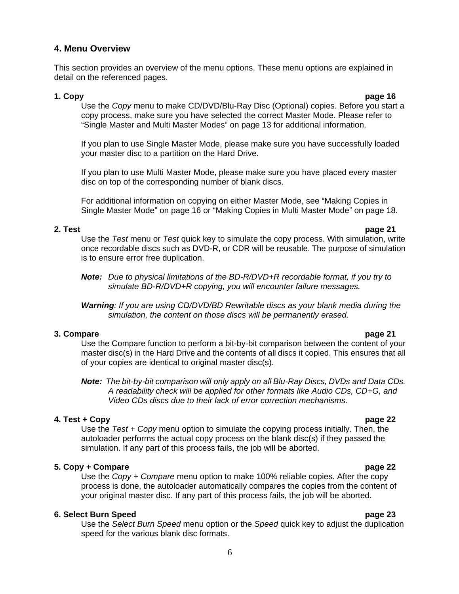#### **4. Menu Overview**

This section provides an overview of the menu options. These menu options are explained in detail on the referenced pages.

#### **1. Copy page 16**

Use the Copy menu to make CD/DVD/Blu-Ray Disc (Optional) copies. Before you start a copy process, make sure you have selected the correct Master Mode. Please refer to "Single Master and Multi Master Modes" on page 13 for additional information.

If you plan to use Single Master Mode, please make sure you have successfully loaded your master disc to a partition on the Hard Drive.

If you plan to use Multi Master Mode, please make sure you have placed every master disc on top of the corresponding number of blank discs.

For additional information on copying on either Master Mode, see "Making Copies in Single Master Mode" on page 16 or "Making Copies in Multi Master Mode" on page 18.

#### **2. Test page 21**

Use the Test menu or Test quick key to simulate the copy process. With simulation, write once recordable discs such as DVD-R, or CDR will be reusable. The purpose of simulation is to ensure error free duplication.

**Note:** Due to physical limitations of the BD-R/DVD+R recordable format, if you try to simulate BD-R/DVD+R copying, you will encounter failure messages.

**Warning**: If you are using CD/DVD/BD Rewritable discs as your blank media during the simulation, the content on those discs will be permanently erased.

#### **3. Compare page 21** Use the Compare function to perform a bit-by-bit comparison between the content of your master disc(s) in the Hard Drive and the contents of all discs it copied. This ensures that all of your copies are identical to original master disc(s).

**Note:** The bit-by-bit comparison will only apply on all Blu-Ray Discs, DVDs and Data CDs. A readability check will be applied for other formats like Audio CDs, CD+G, and Video CDs discs due to their lack of error correction mechanisms.

#### **4. Test + Copy page 22**

Use the  $Test + Copy$  menu option to simulate the copying process initially. Then, the autoloader performs the actual copy process on the blank disc(s) if they passed the simulation. If any part of this process fails, the job will be aborted.

#### **5. Copy + Compare page 22**

Use the Copy + Compare menu option to make 100% reliable copies. After the copy process is done, the autoloader automatically compares the copies from the content of your original master disc. If any part of this process fails, the job will be aborted.

#### **6. Select Burn Speed page 23**

Use the Select Burn Speed menu option or the Speed quick key to adjust the duplication speed for the various blank disc formats.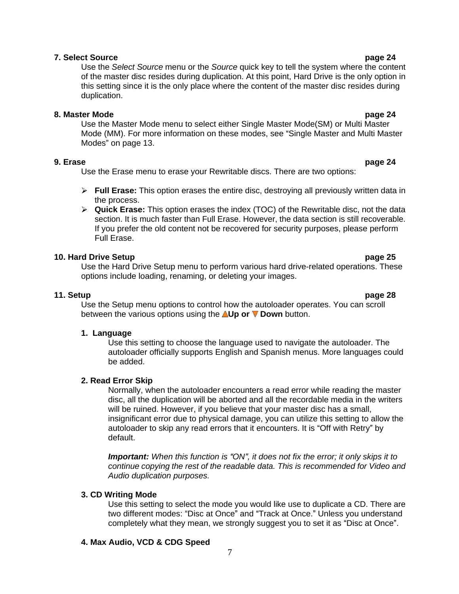#### **7. Select Source page 24**

Use the Select Source menu or the Source quick key to tell the system where the content of the master disc resides during duplication. At this point, Hard Drive is the only option in this setting since it is the only place where the content of the master disc resides during duplication. The contract of the contract of the contract of the contract of the contract of the contract of the contract of the contract of the contract of the contract of the contract of the contract of the contract of t

#### **8. Master Mode page 24**

Use the Master Mode menu to select either Single Master Mode(SM) or Multi Master Mode (MM). For more information on these modes, see "Single Master and Multi Master Modes" on page 13.

#### **9. Erase page 24**

Use the Erase menu to erase your Rewritable discs. There are two options:

- **Full Erase:** This option erases the entire disc, destroying all previously written data in the process. The process of the state of the state of the state of the state of the state of the state of the state of the state of the state of the state of the state of the state of the state of the state of the state of
- **Quick Erase:** This option erases the index (TOC) of the Rewritable disc, not the data section. It is much faster than Full Erase. However, the data section is still recoverable. If you prefer the old content not be recovered for security purposes, please perform Full Erase.

#### **10. Hard Drive Setup page 25**

Use the Hard Drive Setup menu to perform various hard drive-related operations. These options include loading, renaming, or deleting your images.

**11. Setup page 28** Use the Setup menu options to control how the autoloader operates. You can scroll between the various options using the **Up or Down** button.

#### **1. Language**

Use this setting to choose the language used to navigate the autoloader. The autoloader officially supports English and Spanish menus. More languages could be added. The added by the contract of the contract of the contract of the contract of the contract of the contract of the contract of the contract of the contract of the contract of the contract of the contract of the con

#### **2. Read Error Skip**

Normally, when the autoloader encounters a read error while reading the master disc, all the duplication will be aborted and all the recordable media in the writers will be ruined. However, if you believe that your master disc has a small, insignificant error due to physical damage, you can utilize this setting to allow the autoloader to skip any read errors that it encounters. It is "Off with Retry" by default.

**Important:** When this function is "ON", it does not fix the error; it only skips it to continue copying the rest of the readable data. This is recommended for Video and Audio duplication purposes.

#### **3. CD Writing Mode**

Use this setting to select the mode you would like use to duplicate a CD. There are two different modes: "Disc at Once" and "Track at Once." Unless you understand completely what they mean, we strongly suggest you to set it as "Disc at Once".

#### **4. Max Audio, VCD & CDG Speed**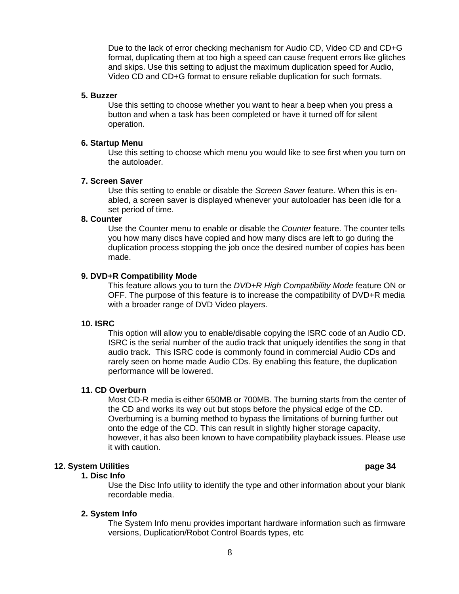Due to the lack of error checking mechanism for Audio CD, Video CD and CD+G format, duplicating them at too high a speed can cause frequent errors like glitches and skips. Use this setting to adjust the maximum duplication speed for Audio, Video CD and CD+G format to ensure reliable duplication for such formats.

#### **5. Buzzer**

Use this setting to choose whether you want to hear a beep when you press a button and when a task has been completed or have it turned off for silent operation.

#### **6. Startup Menu**

Use this setting to choose which menu you would like to see first when you turn on the autoloader.

#### **7. Screen Saver**

Use this setting to enable or disable the Screen Saver feature. When this is enabled, a screen saver is displayed whenever your autoloader has been idle for a set period of time.

#### **8. Counter**

Use the Counter menu to enable or disable the *Counter* feature. The counter tells you how many discs have copied and how many discs are left to go during the duplication process stopping the job once the desired number of copies has been made. The contract of the contract of the contract of the contract of the contract of the contract of the contract of the contract of the contract of the contract of the contract of the contract of the contract of the cont

#### **9. DVD+R Compatibility Mode**

This feature allows you to turn the DVD+R High Compatibility Mode feature ON or OFF. The purpose of this feature is to increase the compatibility of DVD+R media with a broader range of DVD Video players.

#### **10. ISRC**

This option will allow you to enable/disable copying the ISRC code of an Audio CD. ISRC is the serial number of the audio track that uniquely identifies the song in that audio track. This ISRC code is commonly found in commercial Audio CDs and rarely seen on home made Audio CDs. By enabling this feature, the duplication performance will be lowered.

#### **11. CD Overburn**

Most CD-R media is either 650MB or 700MB. The burning starts from the center of the CD and works its way out but stops before the physical edge of the CD. Overburning is a burning method to bypass the limitations of burning further out onto the edge of the CD. This can result in slightly higher storage capacity, however, it has also been known to have compatibility playback issues. Please use it with caution.

#### **12. System Utilities page 34**

#### **1. Disc Info**

Use the Disc Info utility to identify the type and other information about your blank recordable media.

#### **2. System Info**

The System Info menu provides important hardware information such as firmware versions, Duplication/Robot Control Boards types, etc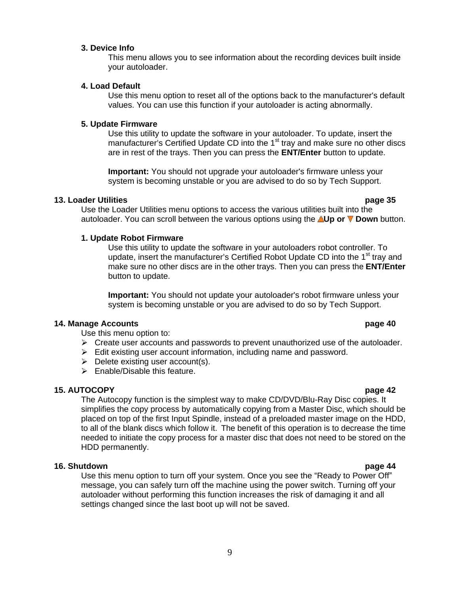#### **3. Device Info**

This menu allows you to see information about the recording devices built inside your autoloader.

#### **4. Load Default**

Use this menu option to reset all of the options back to the manufacturer's default values. You can use this function if your autoloader is acting abnormally.

#### **5. Update Firmware**

Use this utility to update the software in your autoloader. To update, insert the manufacturer's Certified Update CD into the 1<sup>st</sup> tray and make sure no other discs are in rest of the trays. Then you can press the **ENT/Enter** button to update.

**Important:** You should not upgrade your autoloader's firmware unless your system is becoming unstable or you are advised to do so by Tech Support.

#### **13. Loader Utilities page 35**

Use the Loader Utilities menu options to access the various utilities built into the autoloader. You can scroll between the various options using the **Up or Down** button.

#### **1. Update Robot Firmware**

Use this utility to update the software in your autoloaders robot controller. To update, insert the manufacturer's Certified Robot Update CD into the 1<sup>st</sup> tray and make sure no other discs are in the other trays. Then you can press the **ENT/Enter** button to update.

**Important:** You should not update your autoloader's robot firmware unless your system is becoming unstable or you are advised to do so by Tech Support.

#### **14. Manage Accounts page 40**

Use this menu option to:

- $\geq$  Create user accounts and passwords to prevent unauthorized use of the autoloader.<br>
Edit existing user account information, including name and password.
- 
- $\triangleright$  Delete existing user account(s).
- $\triangleright$  Enable/Disable this feature.

#### **15. AUTOCOPY page 42**

The Autocopy function is the simplest way to make CD/DVD/Blu-Ray Disc copies. It simplifies the copy process by automatically copying from a Master Disc, which should be placed on top of the first Input Spindle, instead of a preloaded master image on the HDD, to all of the blank discs which follow it. The benefit of this operation is to decrease the time needed to initiate the copy process for a master disc that does not need to be stored on the HDD permanently.

#### **16. Shutdown page 44**

Use this menu option to turn off your system. Once you see the "Ready to Power Off" message, you can safely turn off the machine using the power switch. Turning off your autoloader without performing this function increases the risk of damaging it and all settings changed since the last boot up will not be saved.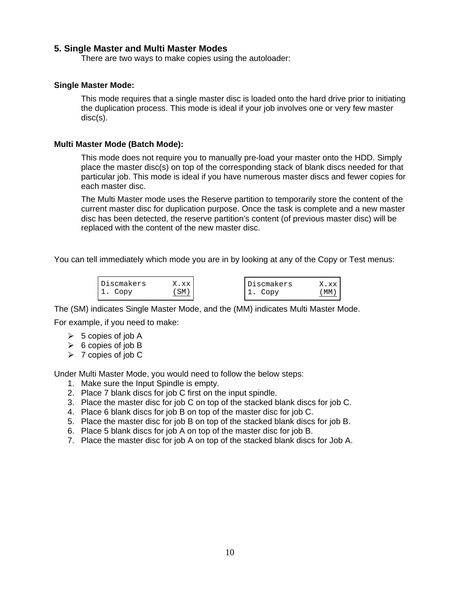#### **5. Single Master and Multi Master Modes**

There are two ways to make copies using the autoloader:

#### **Single Master Mode:**

This mode requires that a single master disc is loaded onto the hard drive prior to initiating the duplication process. This mode is ideal if your job involves one or very few master disc(s).

#### **Multi Master Mode (Batch Mode):**

This mode does not require you to manually pre-load your master onto the HDD. Simply place the master disc(s) on top of the corresponding stack of blank discs needed for that particular job. This mode is ideal if you have numerous master discs and fewer copies for each master disc.

The Multi Master mode uses the Reserve partition to temporarily store the content of the current master disc for duplication purpose. Once the task is complete and a new master disc has been detected, the reserve partition's content (of previous master disc) will be replaced with the content of the new master disc.

You can tell immediately which mode you are in by looking at any of the Copy or Test menus:



For example, if you need to make:

- 5 copies of job A
- 6 copies of job B
- 7 copies of job C

Under Multi Master Mode, you would need to follow the below steps:

- 1. Make sure the Input Spindle is empty.
- 2. Place 7 blank discs for job C first on the input spindle.
- 3. Place the master disc for job C on top of the stacked blank discs for job C. 4. Place 6 blank discs for job B on top of the master disc for job C.
- 
- 5. Place the master disc for job B on top of the stacked blank discs for job B.
- 6. Place 5 blank discs for job A on top of the master disc for job B.
- 7. Place the master disc for job A on top of the stacked blank discs for Job A.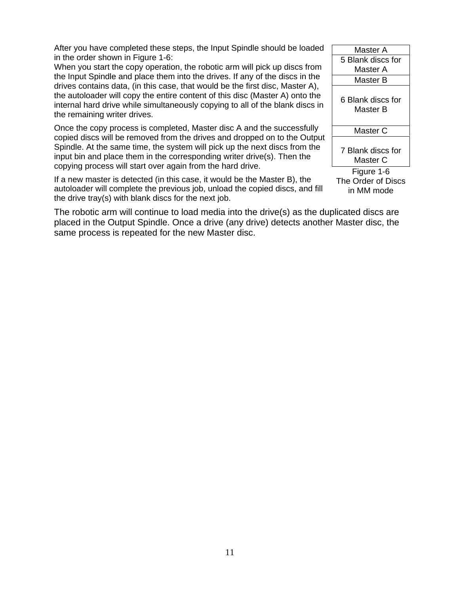After you have completed these steps, the Input Spindle should be loaded in the order shown in Figure 1-6:

When you start the copy operation, the robotic arm will pick up discs from the Input Spindle and place them into the drives. If any of the discs in the drives contains data, (in this case, that would be the first disc, Master A), the autoloader will copy the entire content of this disc (Master A) onto the internal hard drive while simultaneously copying to all of the blank discs in the remaining writer drives.

Once the copy process is completed, Master disc A and the successfully copied discs will be removed from the drives and dropped on to the Output Spindle. At the same time, the system will pick up the next discs from the input bin and place them in the corresponding writer drive(s). Then the copying process will start over again from the hard drive.

If a new master is detected (in this case, it would be the Master B), the autoloader will complete the previous job, unload the copied discs, and fill the drive tray(s) with blank discs for the next job.

The robotic arm will continue to load media into the drive(s) as the duplicated discs are placed in the Output Spindle. Once a drive (any drive) detects another Master disc, the same process is repeated for the new Master disc.

| Master A          |  |  |  |  |  |
|-------------------|--|--|--|--|--|
| 5 Blank discs for |  |  |  |  |  |
| Master A          |  |  |  |  |  |
| Master B          |  |  |  |  |  |
|                   |  |  |  |  |  |
| 6 Blank discs for |  |  |  |  |  |
| Master B          |  |  |  |  |  |
|                   |  |  |  |  |  |
| Master C          |  |  |  |  |  |
| 7 Blank discs for |  |  |  |  |  |
|                   |  |  |  |  |  |
| Master C          |  |  |  |  |  |
| Figure 1-6        |  |  |  |  |  |

The Order of Discs in MM mode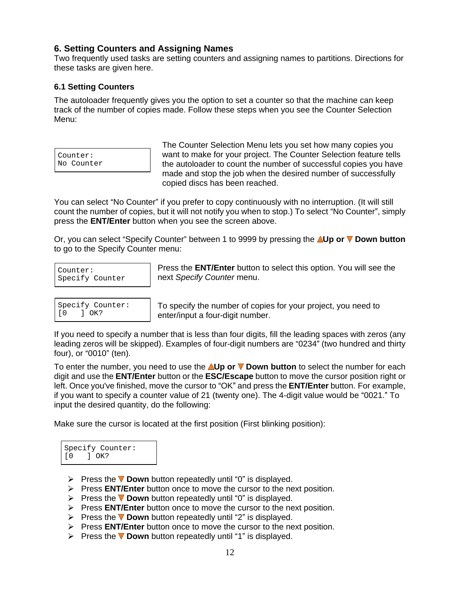#### **6. Setting Counters and Assigning Names**

Two frequently used tasks are setting counters and assigning names to partitions. Directions for these tasks are given here.

#### **6.1 Setting Counters**

The autoloader frequently gives you the option to set a counter so that the machine can keep track of the number of copies made. Follow these steps when you see the Counter Selection Menu:

| Counter:   |
|------------|
| No Counter |

Counter: want to make for your project. The Counter Selection feature tells No Counter **the autoloader to count the number of successful copies you have** The Counter Selection Menu lets you set how many copies you made and stop the job when the desired number of successfully copied discs has been reached.

You can select "No Counter" if you prefer to copy continuously with no interruption. (It will still count the number of copies, but it will not notify you when to stop.) To select "No Counter", simply press the **ENT/Enter** button when you see the screen above.

Or, you can select "Specify Counter" between 1 to 9999 by pressing the **AUp or V Down button** to go to the Specify Counter menu:

|    |                                 | Specify Counter: |
|----|---------------------------------|------------------|
| ΓO | $\overline{) \quad \text{OK?}}$ |                  |

Counter: Press the **ENT/Enter** button to select this option. You will see the Specify Counter (and **next Specify Counter menu.** The control of the section of the section of  $\mathbf{S}$ next Specify Counter menu.

Specify Counter: To specify the number of copies for your project, you need to [0 ] OK? enter/input a four-digit number.

If you need to specify a number that is less than four digits, fill the leading spaces with zeros (any leading zeros will be skipped). Examples of four-digit numbers are "0234" (two hundred and thirty four), or "0010" (ten). The contraction of the contraction of the contraction of the contraction of the contraction of the contraction of the contraction of the contraction of the contraction of the contraction of the cont

To enter the number, you need to use the **AUp or <b>V** Down button to select the number for each digit and use the **ENT/Enter** button or the **ESC/Escape** button to move the cursor position right or left. Once you've finished, move the cursor to "OK" and press the **ENT/Enter** button. For example, if you want to specify a counter value of 21 (twenty one). The 4-digit value would be "0021." To input the desired quantity, do the following:

Make sure the cursor is located at the first position (First blinking position):

| Specify Counter:<br>[0 ] OK? |
|------------------------------|
|                              |

- Press the **V** Down button repeatedly until "0" is displayed.
	- Press **ENT/Enter** button once to move the cursor to the next position.
	- Press the **V Down** button repeatedly until "0" is displayed.
- Press **ENT/Enter** button once to move the cursor to the next position. Specify Counter:<br>
(0 1 OK?<br>
> Press the **V Down** button repeatedly until "0" is displayed.<br>
> Press **ENT/Enter** button once to move the cursor to the next position.<br>
> Press **ENT/Enter** button once to move the cursor to t
	- Press the  $\nabla$  **Down** button repeatedly until "2" is displayed.
	- **Press ENT/Enter** button once to move the cursor to the next position.
	-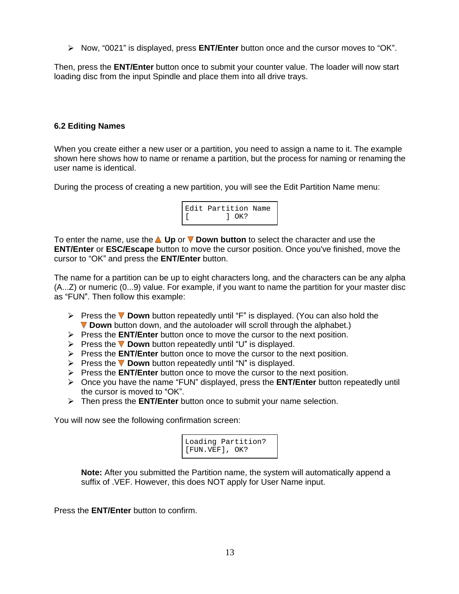**E** Now, "0021" is displayed, press **ENT/Enter** button once and the cursor moves to "OK".

Then, press the **ENT/Enter** button once to submit your counter value. The loader will now start loading disc from the input Spindle and place them into all drive trays.

#### **6.2 Editing Names**

When you create either a new user or a partition, you need to assign a name to it. The example shown here shows how to name or rename a partition, but the process for naming or renaming the user name is identical.

During the process of creating a new partition, you will see the Edit Partition Name menu:

| Edit Partition Name |
|---------------------|
| OK?                 |

To enter the name, use the **△Up** or ▼ **Down button** to select the character and use the **ENT/Enter** or **ESC/Escape** button to move the cursor position. Once you've finished, move the cursor to "OK" and press the **ENT/Enter** button.

The name for a partition can be up to eight characters long, and the characters can be any alpha (A...Z) or numeric (0...9) value. For example, if you want to name the partition for your master disc as "FUN". Then follow this example:  $\blacksquare$ 

- **EX** Press the ▼ Down button repeatedly until "F" is displayed. (You can also hold the **Down** button down, and the autoloader will scroll through the alphabet.)
- Press the **ENT/Enter** button once to move the cursor to the next position.
- Press the **V Down** button repeatedly until "U" is displayed.
- Press the **ENT/Enter** button once to move the cursor to the next position.
- **Press the**  $\nabla$  **Down** button repeatedly until "N" is displayed.
- Press the **ENT/Enter** button once to move the cursor to the next position.
- **►** Once you have the name "FUN" displayed, press the **ENT/Enter** button repeatedly until the cursor is moved to "OK".  $\blacksquare$
- Then press the **ENT/Enter** button once to submit your name selection.

You will now see the following confirmation screen:

| Loading Partition?                 |  |  |
|------------------------------------|--|--|
| $[\texttt{FUN.VEF}], \texttt{OK?}$ |  |  |

**Note:** After you submitted the Partition name, the system will automatically append a suffix of .VEF. However, this does NOT apply for User Name input.

Press the **ENT/Enter** button to confirm.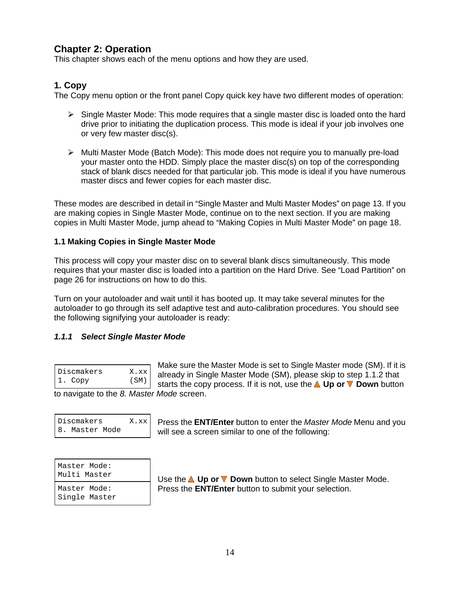### **Chapter 2: Operation**

This chapter shows each of the menu options and how they are used.

### **1. Copy**

The Copy menu option or the front panel Copy quick key have two different modes of operation:

- $\triangleright$  Single Master Mode: This mode requires that a single master disc is loaded onto the hard drive prior to initiating the duplication process. This mode is ideal if your job involves one or very few master disc(s).
- $\triangleright$  Multi Master Mode (Batch Mode): This mode does not require you to manually pre-load your master onto the HDD. Simply place the master disc(s) on top of the corresponding stack of blank discs needed for that particular job. This mode is ideal if you have numerous master discs and fewer copies for each master disc.

These modes are described in detail in "Single Master and Multi Master Modes" on page 13. If you are making copies in Single Master Mode, continue on to the next section. If you are making copies in Multi Master Mode, jump ahead to "Making Copies in Multi Master Mode" on page 18.

#### **1.1 Making Copies in Single Master Mode**

This process will copy your master disc on to several blank discs simultaneously. This mode requires that your master disc is loaded into a partition on the Hard Drive. See "Load Partition" on page 26 for instructions on how to do this.

Turn on your autoloader and wait until it has booted up. It may take several minutes for the autoloader to go through its self adaptive test and auto-calibration procedures. You should see the following signifying your autoloader is ready:

#### **1.1.1 Select Single Master Mode**

| Discmakers | X.xx |
|------------|------|
| 1. Copy    | (SM) |

Discmakers  $X.xx$  already in Single Master Mode (SM), please skip to step 1.1.2 that 1. Copy (SM) starts the copy process. If it is not, use the **A** Up or **V** Down button Make sure the Master Mode is set to Single Master mode (SM). If it is

to navigate to the 8. Master Mode screen.

| Discmakers     | X.xx |
|----------------|------|
| 8. Master Mode |      |

Discmakers X.xx Press the **ENT/Enter** button to enter the Master Mode Menu and you 8. Master Mode | will see a screen similar to one of the following:

| Master Mode:<br>Multi Master  | Use the <b>△ Up or ▼ Down</b> button to select Single Master Mode. |
|-------------------------------|--------------------------------------------------------------------|
| Master Mode:<br>Single Master | Press the <b>ENT/Enter</b> button to submit your selection.        |

Multi Master Use the **Up or Down** button to select Single Master Mode. Master Mode: Press the **ENT/Enter** button to submit your selection.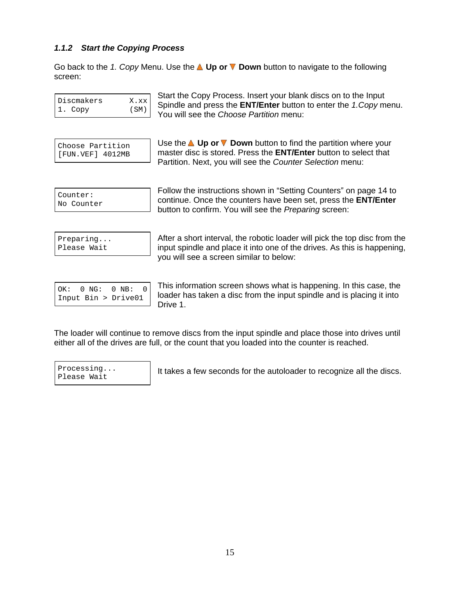#### **1.1.2 Start the Copying Process**

Go back to the 1. Copy Menu. Use the **Up or Down** button to navigate to the following screen: which is a set of the set of the set of the set of the set of the set of the set of the set of the set of the set of the set of the set of the set of the set of the set of the set of the set of the set of the set o

| Discmakers | X.xx |
|------------|------|
| Il. Copy   | (SM) |

Discmakers X.xx Spindle and press the **ENT/Enter** button to enter the 1.Copy menu. 1.  $Copy$  (SM) Pension of the S the case of the street in the normal contract  $CSP$ Start the Copy Process. Insert your blank discs on to the Input You will see the Choose Partition menu:

Choose Partition  $\begin{array}{|c|c|c|c|c|}\n\hline\n\end{array}$  Use the  $\blacktriangle$  Up or  $\nabla$  Down button to find the partition where your [FUN.VEF] 4012MB master disc is stored. Press the **ENT/Enter** button to select that Partition. Next, you will see the Counter Selection menu:

 $\frac{1}{2}$   $\frac{1}{2}$   $\frac{1}{2}$   $\frac{1}{2}$   $\frac{1}{2}$   $\frac{1}{2}$   $\frac{1}{2}$   $\frac{1}{2}$   $\frac{1}{2}$   $\frac{1}{2}$   $\frac{1}{2}$   $\frac{1}{2}$   $\frac{1}{2}$   $\frac{1}{2}$   $\frac{1}{2}$   $\frac{1}{2}$   $\frac{1}{2}$   $\frac{1}{2}$   $\frac{1}{2}$   $\frac{1}{2}$   $\frac{1}{2}$   $\frac{1}{2}$  No Counter continue. Once the counters have been set, press the **ENT/Enter** Follow the instructions shown in "Setting Counters" on page 14 to button to confirm. You will see the Preparing screen:

<code>Preparing...</code>  $\vert$  After a short interval, the robotic loader will pick the top disc from the Please Wait **Findlersh and place it into one of the drives. As this is happening,** you will see a screen similar to below:

| OK: $0 \text{ NG: } 0 \text{ NB: } 0$ |  |
|---------------------------------------|--|
| $Input Bin > Drive01$                 |  |

 $\overline{O(K: 0 \text{ NG}: 0 \text{ NB}: 0)}$  This information screen shows what is happening. In this case, the Input Bin > Drive01 loader has taken a disc from the input spindle and is placing it into Drive 1.

The loader will continue to remove discs from the input spindle and place those into drives until either all of the drives are full, or the count that you loaded into the counter is reached.

| Processing  |  |
|-------------|--|
| Please Wait |  |

Processing... | It takes a few seconds for the autoloader to recognize all the discs. Please Wait and the contract of the contract of the contract of the contract of the contract of the please was  $\frac{1}{2}$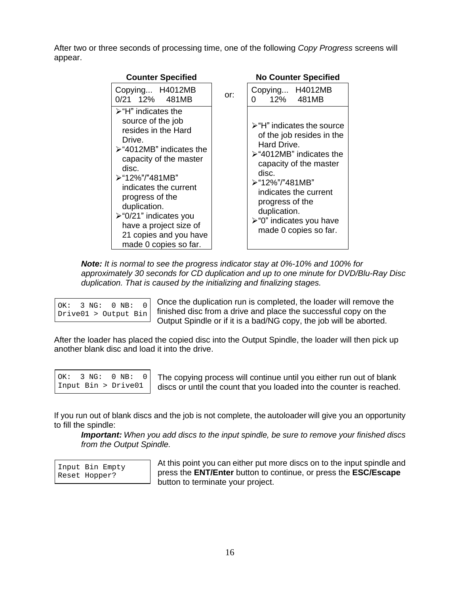After two or three seconds of processing time, one of the following Copy Progress screens will appear.

| <b>Counter Specified</b>                                |     | <b>No Counter Specified</b>                                                     |
|---------------------------------------------------------|-----|---------------------------------------------------------------------------------|
| Copying H4012MB                                         | or: | Copying H4012MB                                                                 |
| 0/21 12% 481MB                                          |     | $\begin{vmatrix} 0 & 12\% & 481MB \end{vmatrix}$                                |
| $\triangleright$ "H" indicates the<br>source of the job |     |                                                                                 |
| resides in the Hard                                     |     | $\rightarrow$ "H" indicates the source $\parallel$<br>of the job resides in the |
| Drive.<br>$\triangleright$ "4012MB" indicates the       |     | Hard Drive.                                                                     |
| capacity of the master                                  |     | >"4012MB" indicates the<br>capacity of the master                               |
| disc.<br>>"12%"/"481MB"                                 |     | disc.                                                                           |
| indicates the current                                   |     | ≻"12%"/"481MB"<br>indicates the current                                         |
| progress of the<br>duplication.                         |     | progress of the                                                                 |
| $\triangleright$ "0/21" indicates you                   |     | duplication.<br>  ≻"0" indicates you have                                       |
| have a project size of                                  |     | made 0 copies so far.                                                           |
| 21 copies and you have<br>made 0 copies so far.         |     |                                                                                 |

**Note:** It is normal to see the progress indicator stay at 0%-10% and 100% for approximately 30 seconds for CD duplication and up to one minute for DVD/Blu-Ray Disc duplication. That is caused by the initializing and finalizing stages.

| OK: $3 NG: 0 NB: 0$  |  |  |  |
|----------------------|--|--|--|
| Drive01 > Output Bin |  |  |  |

 $\overline{O(K: 3 \text{ NG}: 0 \text{ NB}: 0)}$  Once the duplication run is completed, the loader will remove the finished disc from a drive and place the successful copy on the

Unity Dutput Spindle or if it is a bad/NG copy, the job will be aborted.<br>After the loader has placed the copied disc into the Output Spindle, the loader will then pick up another blank disc and load it into the drive.

|  | OK: $3 NG: 0 NB: 0$ |  |
|--|---------------------|--|
|  | Input Bin > Drive01 |  |

OK: 3 NG: 0 NB: 0 The copying process will continue until you either run out of blank Input Bin > Drive01 discs or until the count that you loaded into the counter is reached.

If you run out of blank discs and the job is not complete, the autoloader will give you an opportunity to fill the spindle:

**Important:** When you add discs to the input spindle, be sure to remove your finished discs from the Output Spindle.

Input Bin Empty At this point you can either put more discs on to the input spindle and Reset Hopper? press the **ENT/Enter** button to continue, or press the **ESC/Escape** button to terminate your project.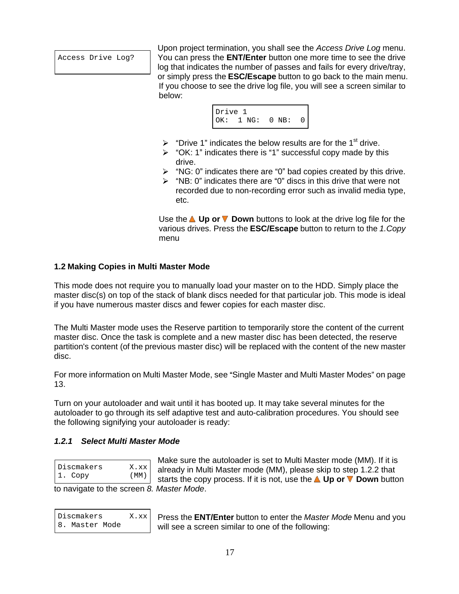Access Drive Log? You can press the **ENT/Enter** button one more time to see the drive Upon project termination, you shall see the Access Drive Log menu. log that indicates the number of passes and fails for every drive/tray, or simply press the **ESC/Escape** button to go back to the main menu. If you choose to see the drive log file, you will see a screen similar to below: when the contract of the contract of the contract of the contract of the contract of the contract of the contract of the contract of the contract of the contract of the contract of the contract of the contract of th



- $\triangleright$  "Drive 1" indicates the below results are for the 1<sup>st</sup> drive. <sup>st</sup> drive.
- $\geq$  "OK: 1" indicates there is "1" successful copy made by this drive. **Example 20** and 20 and 20 and 20 and 20 and 20 and 20 and 20 and 20 and 20 and 20 and 20 and 20 and 20 and 20 and 20 and 20 and 20 and 20 and 20 and 20 and 20 and 20 and 20 and 20 and 20 and 20 and 20 and 20 and 20
- $\triangleright$  "NG: 0" indicates there are "0" bad copies created by this drive.
- $\triangleright$  "NB: 0" indicates there are "0" discs in this drive that were not
- recorded due to non-recording error such as invalid media type, etc. The contract of the contract of the contract of the contract of the contract of the contract of the contract of the contract of the contract of the contract of the contract of the contract of the contract of the contr

Use the **△ Up or ▼ Down** buttons to look at the drive log file for the various drives. Press the **ESC/Escape** button to return to the 1.Copy menu **menu** and the state of the state of the state of the state of the state of the state of the state of the state of the state of the state of the state of the state of the state of the state of the state of the state o

#### **1.2 Making Copies in Multi Master Mode**

This mode does not require you to manually load your master on to the HDD. Simply place the master disc(s) on top of the stack of blank discs needed for that particular job. This mode is ideal if you have numerous master discs and fewer copies for each master disc.

The Multi Master mode uses the Reserve partition to temporarily store the content of the current master disc. Once the task is complete and a new master disc has been detected, the reserve partition's content (of the previous master disc) will be replaced with the content of the new master disc. The contract of the contract of the contract of the contract of the contract of the contract of the contract of the contract of the contract of the contract of the contract of the contract of the contract of the cont

For more information on Multi Master Mode, see "Single Master and Multi Master Modes" on page 13.<br>Turn on your autoloader and wait until it has booted up. It may take several minutes for the

autoloader to go through its self adaptive test and auto-calibration procedures. You should see the following signifying your autoloader is ready:

#### **1.2.1 Select Multi Master Mode**

| Discmakers | X.xxI |
|------------|-------|
| 1. Copy    | (MM)  |

Discmakers  $X.xx$  already in Multi Master mode (MM), please skip to step 1.2.2 that 1. Copy (MM) starts the copy process. If it is not, use the **A** Up or **V** Down button Make sure the autoloader is set to Multi Master mode (MM). If it is

| Discmakers     | X.x |
|----------------|-----|
| 8. Master Mode |     |

 $\mathbb{R}$  Press the **ENT/Enter** button to enter the *Master Mode* Menu and you 8. Master Mode | will see a screen similar to one of the following: to navigate to the screen 8. Master Mode. Press the **ENT/Enter** button to enter the Master Mode Menu and you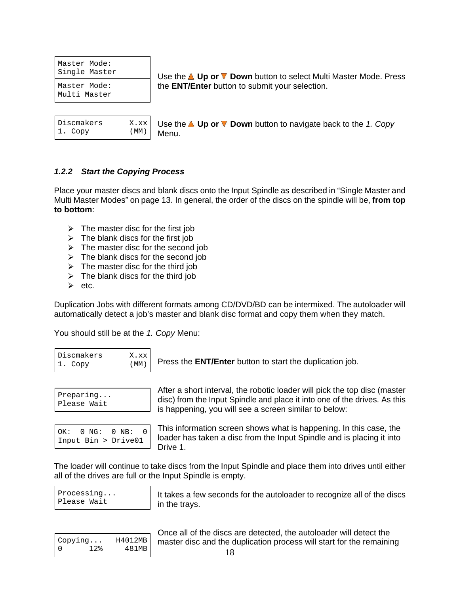Master Mode: Multi Master

| Discmakers |  |
|------------|--|
| 1. Copy    |  |

Single Master Use the **Up or Down** button to select Multi Master Mode. Press Master Mode: the **ENT/Enter** button to submit your selection.

Discmakers X.xx Use the **Up or Down** button to navigate back to the 1. Copy 1.  $Copy$  (MM) Menu Menu.

#### **1.2.2 Start the Copying Process**

Place your master discs and blank discs onto the Input Spindle as described in "Single Master and Multi Master Modes" on page 13. In general, the order of the discs on the spindle will be, from top **to bottom**:

- $\triangleright$  The master disc for the first job
- $\triangleright$  The blank discs for the first job
- $\triangleright$  The master disc for the second job
- $\triangleright$  The blank discs for the second job
- $\triangleright$  The master disc for the third job
- $\triangleright$  The blank discs for the third job
- etc.

Duplication Jobs with different formats among CD/DVD/BD can be intermixed. The autoloader will automatically detect a job's master and blank disc format and copy them when they match.

You should still be at the 1. Copy Menu:

| Discmakers | Х.х  |
|------------|------|
| 1. Copy    | (MN) |

Discmakers X.xx 1. Copy  $(MM)$  Press the **ENT/Enter** button to start the duplication job.

|             | $\mathbf{A} \mathbf{H}$<br>r a short interval, the robotic loader will pick the top disc (master<br>$'$ www. |  |
|-------------|--------------------------------------------------------------------------------------------------------------|--|
| Preparing   | disc) from the Input Spindle and place it into one of the drives. As this                                    |  |
| Please Wait |                                                                                                              |  |
|             | is hannaning wou will saa a scraan similar to halow: "                                                       |  |

Please Wait disc) from the Input Spindle and place it into one of the drives. As this<br>Please Wait is happening, you will see a screen similar to below:

After a short interval, the robotic loader will pick the top disc (master

 $OK: 0 \text{ NG}: 0 \text{ NB}: 0$  | This information screen shows what is nappening. In this case, the Input Bin > Drive01 loader has taken a disc from the Input Spindle and is placing it into This information screen shows what is happening. In this case, the Drive 1.

The loader will continue to take discs from the Input Spindle and place them into drives until either all of the drives are full or the Input Spindle is empty.

Processing... | It takes a few seconds for the autoloader to recognize all of the discs Please Wait and in the travs of the contract of the set of the set of the set of the set of the set of the set of the set of the set of the set of the set of the set of the set of the set of the set of the set of the set o in the trays.

|                 |         | <u>UIILE AII UI IIIE UISUS ALE UEIEUIEU. IIIE AUIUIUAUEL WIII UEIEUI IIIE</u> |
|-----------------|---------|-------------------------------------------------------------------------------|
| .copying.       | H4012MB | master disc and the duplication process will start for the remaining          |
| ່າ ງຍ<br>-- - - | 481MB   | 10                                                                            |

Copying... H4012MB | master disc and the duplication process will start for the remaining Once all of the discs are detected, the autoloader will detect the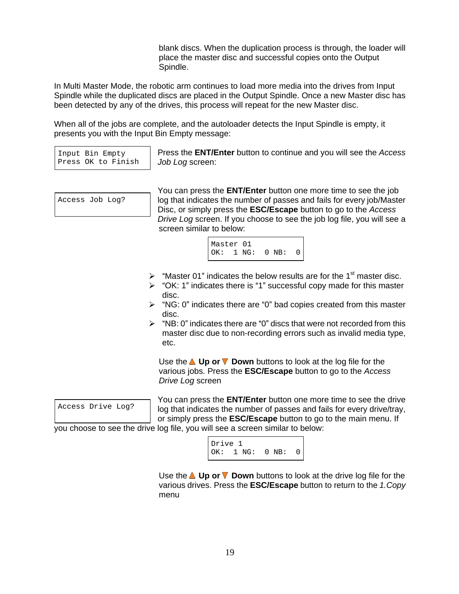blank discs. When the duplication process is through, the loader will place the master disc and successful copies onto the Output Spindle. The contract of the contract of the contract of the contract of the contract of the contract of the contract of the contract of the contract of the contract of the contract of the contract of the contract of the c

In Multi Master Mode, the robotic arm continues to load more media into the drives from Input Spindle while the duplicated discs are placed in the Output Spindle. Once a new Master disc has been detected by any of the drives, this process will repeat for the new Master disc.

When all of the jobs are complete, and the autoloader detects the Input Spindle is empty, it presents you with the Input Bin Empty message:

Input Bin Empty Press the **ENT/Enter** button to continue and you will see the Access Press OK to Finish Job Log screen:

Access Job Log? log that indicates the number of passes and fails for every job/Master You can press the **ENT/Enter** button one more time to see the job Disc, or simply press the **ESC/Escape** button to go to the Access Drive Log screen. If you choose to see the job log file, you will see a screen similar to below:



- $\triangleright$  "Master 01" indicates the below results are for the 1<sup>st</sup> master disc.
- $\triangleright$  "OK: 1" indicates there is "1" successful copy made for this master disc. **Example 20** in the contract of the contract of the contract of the contract of the contract of the contract of the contract of the contract of the contract of the contract of the contract of the contract of the cont
- $\triangleright$  "NG: 0" indicates there are "0" bad copies created from this master disc. **discrete that the contract of the contract of the contract of the contract of the contract of the contract of the contract of the contract of the contract of the contract of the contract of the contract of the contr**
- $\triangleright$  "NB: 0" indicates there are "0" discs that were not recorded from this master disc due to non-recording errors such as invalid media type, etc. The contract of the contract of the contract of the contract of the contract of the contract of the contract of the contract of the contract of the contract of the contract of the contract of the contract of the contr

Use the **A Up or V Down** buttons to look at the log file for the various jobs. Press the **ESC/Escape** button to go to the Access Drive Log screen



Access Drive Log? | log that indicates the number of passes and fails for every drive/tray, You can press the **ENT/Enter** button one more time to see the drive or simply press the **ESC/Escape** button to go to the main menu. If

you choose to see the drive log file, you will see a screen similar to below:

Drive 1 and 1 and 1 and 1 and 1 and 1 and 1 and 1 and 1 and 1 and 1 and 1 and 1 and 1 and 1 and 1 and 1 and 1 OK: 1 NG: 0 NB: 0

Use the **△ Up or ▼ Down** buttons to look at the drive log file for the various drives. Press the **ESC/Escape** button to return to the 1.Copy menu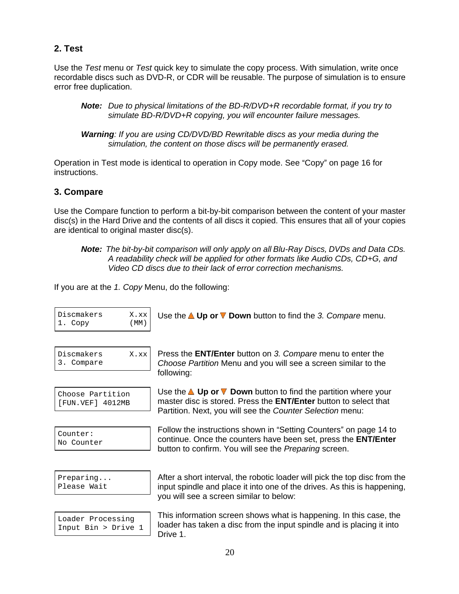### **2. Test**

Use the Test menu or Test quick key to simulate the copy process. With simulation, write once recordable discs such as DVD-R, or CDR will be reusable. The purpose of simulation is to ensure error free duplication.

**Note:** Due to physical limitations of the BD-R/DVD+R recordable format, if you try to simulate BD-R/DVD+R copying, you will encounter failure messages.

**Warning**: If you are using CD/DVD/BD Rewritable discs as your media during the simulation, the content on those discs will be permanently erased.

Operation in Test mode is identical to operation in Copy mode. See "Copy" on page 16 for instructions.

#### **3. Compare**

Use the Compare function to perform a bit-by-bit comparison between the content of your master disc(s) in the Hard Drive and the contents of all discs it copied. This ensures that all of your copies are identical to original master disc(s).

If you are at the 1. Copy Menu, do the following:

| Discmakers<br>l. Copy                    | X.xx<br>(MM) | Use the $\triangle$ Up or $\nabla$ Down button to find the 3. Compare menu.                                                                                                                                             |
|------------------------------------------|--------------|-------------------------------------------------------------------------------------------------------------------------------------------------------------------------------------------------------------------------|
| Discmakers<br>Compare                    | $X$ . $xx$   | Press the <b>ENT/Enter</b> button on 3. Compare menu to enter the<br>Choose Partition Menu and you will see a screen similar to the<br>following:                                                                       |
| Choose Partition<br>[FUN.VEF] 4012MB     |              | Use the $\triangle$ Up or $\nabla$ Down button to find the partition where your<br>master disc is stored. Press the <b>ENT/Enter</b> button to select that<br>Partition. Next, you will see the Counter Selection menu: |
| Counter:<br>No Counter                   |              | Follow the instructions shown in "Setting Counters" on page 14 to<br>continue. Once the counters have been set, press the <b>ENT/Enter</b><br>button to confirm. You will see the Preparing screen.                     |
| Preparing<br>Please Wait                 |              | After a short interval, the robotic loader will pick the top disc from the<br>input spindle and place it into one of the drives. As this is happening,<br>you will see a screen similar to below:                       |
| Loader Processing<br>Input Bin > Drive 1 |              | This information screen shows what is happening. In this case, the<br>loader has taken a disc from the input spindle and is placing it into<br>Drive 1.                                                                 |

**Note:** The bit-by-bit comparison will only apply on all Blu-Ray Discs, DVDs and Data CDs. A readability check will be applied for other formats like Audio CDs, CD+G, and Video CD discs due to their lack of error correction mechanisms.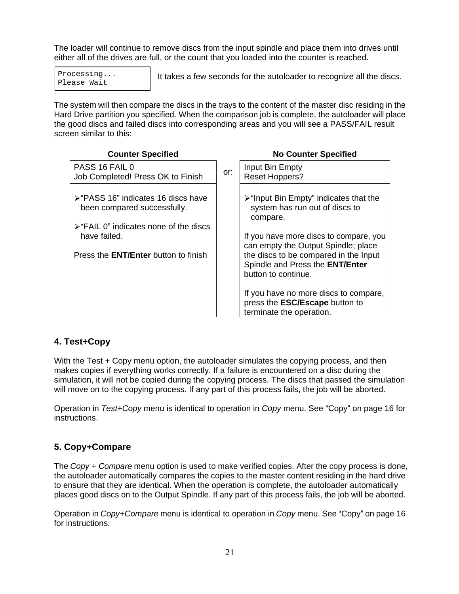The loader will continue to remove discs from the input spindle and place them into drives until either all of the drives are full, or the count that you loaded into the counter is reached.

Processing... | It takes a few seconds for the autoloader to recognize all the discs. Please Wait and the contract of the contract of the contract of the contract of the contract of the please was  $\frac{1}{2}$ 

The system will then compare the discs in the trays to the content of the master disc residing in the Hard Drive partition you specified. When the comparison job is complete, the autoloader will place the good discs and failed discs into corresponding areas and you will see a PASS/FAIL result screen similar to this:

| <b>Counter Specified</b>                                           | <b>No Counter Specified</b>                                                                                |
|--------------------------------------------------------------------|------------------------------------------------------------------------------------------------------------|
| PASS 16 FAIL 0<br>Job Completed! Press OK to Finish                | Input Bin Empty<br>Reset Hoppers?                                                                          |
| > "PASS 16" indicates 16 discs have<br>been compared successfully. | ≻ "Input Bin Empty" indicates that the<br>system has run out of discs to<br>compare.                       |
| $\triangleright$ "FAIL 0" indicates none of the discs              |                                                                                                            |
| have failed.                                                       | If you have more discs to compare, you $\vert$<br>can empty the Output Spindle; place                      |
| Press the <b>ENT/Enter</b> button to finish                        | the discs to be compared in the Input<br>Spindle and Press the <b>ENT/Enter</b><br>button to continue.     |
|                                                                    | If you have no more discs to compare,<br>press the <b>ESC/Escape</b> button to<br>terminate the operation. |

### **4. Test+Copy**

With the Test + Copy menu option, the autoloader simulates the copying process, and then makes copies if everything works correctly. If a failure is encountered on a disc during the simulation, it will not be copied during the copying process. The discs that passed the simulation will move on to the copying process. If any part of this process fails, the job will be aborted.

Operation in Test+Copy menu is identical to operation in Copy menu. See "Copy" on page 16 for instructions. instructions.

### **5. Copy+Compare**

The Copy + Compare menu option is used to make verified copies. After the copy process is done, the autoloader automatically compares the copies to the master content residing in the hard drive to ensure that they are identical. When the operation is complete, the autoloader automatically places good discs on to the Output Spindle. If any part of this process fails, the job will be aborted.

Operation in Copy+Compare menu is identical to operation in Copy menu. See "Copy" on page 16 for instructions.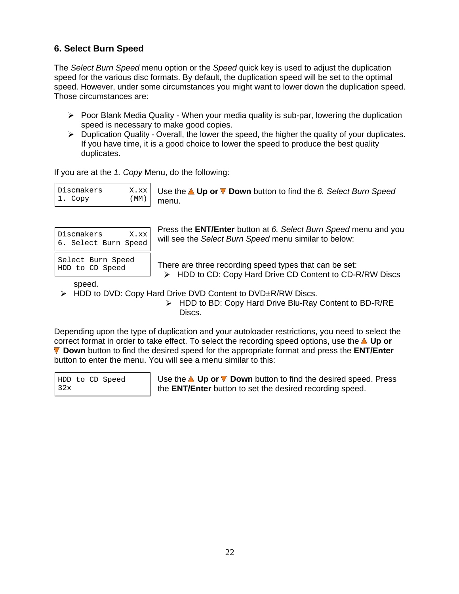### **6. Select Burn Speed**

The Select Burn Speed menu option or the Speed quick key is used to adjust the duplication speed for the various disc formats. By default, the duplication speed will be set to the optimal speed. However, under some circumstances you might want to lower down the duplication speed. Those circumstances are:

- $\triangleright$  Poor Blank Media Quality When your media quality is sub-par, lowering the duplication speed is necessary to make good copies.
- $\triangleright$  Duplication Quality Overall, the lower the speed, the higher the quality of your duplicates. If you have time, it is a good choice to lower the speed to produce the best quality duplicates.

If you are at the 1. Copy Menu, do the following:

| X.xx<br>Discmakers                    | <b>∪</b> Use the <b>△ Up or <math>\mathbf\overline{V}</math> Down</b> button to find the 6. Select Burn Speed |  |
|---------------------------------------|---------------------------------------------------------------------------------------------------------------|--|
| 1. Copy<br>$^{\prime}$ MM $_{\prime}$ | $m \cap n$<br><u>IIIGIIU.</u>                                                                                 |  |

| Discmakers<br>X.xx<br>6. Select Burn Speed |  |  |  |
|--------------------------------------------|--|--|--|
| Select Burn Speed<br>HDD to CD Speed       |  |  |  |

Discmakers  $X.xx$  will see the Select Burn Speed menu similar to below: 6. Select Burn Speed will see the Select Durn Speed menu similar to below. menu.<br>Press the **ENT/Enter** button at *6. Select Burn Speed* menu and you

Select Burn Speed | There are three reception and dimensional that can be active HDD to CD Speed There are three recording speed types that can be set: HDD to CD: Copy Hard Drive CD Content to CD-R/RW Discs

speed. The contract of the contract of the contract of the contract of the contract of the contract of the contract of the contract of the contract of the contract of the contract of the contract of the contract of the con

HDD to DVD: Copy Hard Drive DVD Content to DVD±R/RW Discs.

HDD to BD: Copy Hard Drive Blu-Ray Content to BD-R/RE **Discs.** The contract of the contract of the contract of the contract of the contract of the contract of the contract of the contract of the contract of the contract of the contract of the contract of the contract of the c

Depending upon the type of duplication and your autoloader restrictions, you need to select the correct format in order to take effect. To select the recording speed options, use the **A** Up or **Down** button to find the desired speed for the appropriate format and press the **ENT/Enter** button to enter the menu. You will see a menu similar to this:

|     |  | HDD to CD Speed |  |
|-----|--|-----------------|--|
| 32x |  |                 |  |

HDD to CD Speed Use the **Up or Down** button to find the desired speed. Press 32x the **ENT/Enter** button to set the desired recording speed.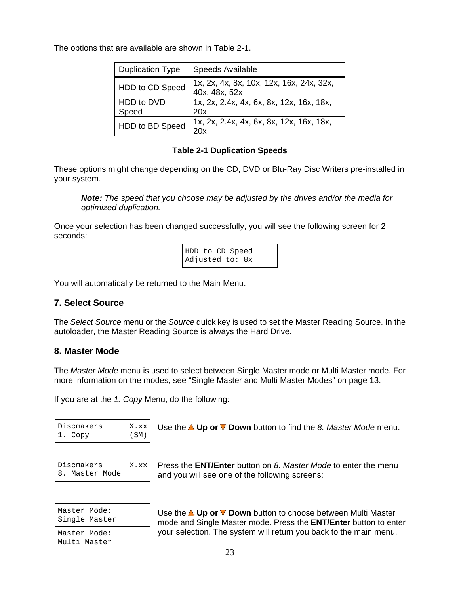The options that are available are shown in Table 2-1.

| <b>Duplication Type</b> | Speeds Available                                         |
|-------------------------|----------------------------------------------------------|
| HDD to CD Speed         | 1x, 2x, 4x, 8x, 10x, 12x, 16x, 24x, 32x,                 |
|                         | 40x, 48x, 52x                                            |
| HDD to DVD<br>Speed     | 1x, 2x, 2.4x, 4x, 6x, 8x, 12x, 16x, 18x,<br>20x          |
| HDD to BD Speed         | $^{\mathsf{I}}$ 1x, 2x, 2.4x, 4x, 6x, 8x, 12x, 16x, 18x, |
|                         | 20x                                                      |

#### **Table 2-1 Duplication Speeds**

These options might change depending on the CD, DVD or Blu-Ray Disc Writers pre-installed in your system.

**Note:** The speed that you choose may be adjusted by the drives and/or the media for optimized duplication.

Once your selection has been changed successfully, you will see the following screen for 2 seconds: which is a second of the second second second second second seconds in the second second second second second second second second second second second second second second second second second second second secon

| HDD to CD Speed                                                                                                 |  |  |  |
|-----------------------------------------------------------------------------------------------------------------|--|--|--|
| Adjusted to: 8x                                                                                                 |  |  |  |
| the contract of the contract of the contract of the contract of the contract of the contract of the contract of |  |  |  |

You will automatically be returned to the Main Menu.

#### **7. Select Source**

The Select Source menu or the Source quick key is used to set the Master Reading Source. In the autoloader, the Master Reading Source is always the Hard Drive.

#### **8. Master Mode**

The Master Mode menu is used to select between Single Master mode or Multi Master mode. For more information on the modes, see "Single Master and Multi Master Modes" on page 13.

If you are at the 1. Copy Menu, do the following:

Discmakers X.xx Use the **Up or Down** button to find the 8. Master Mode menu.

| Discmakers     | X.xx |
|----------------|------|
| 8. Master Mode |      |

Discmakers X.xx Press the **ENT/Enter** button on 8. Master Mode to enter the menu 8. Master Mode and you will see one of the following screens:

| Master Mode:                 | Use the <b>△ Up or ▼ Down</b> button to choose between Multi Master     |
|------------------------------|-------------------------------------------------------------------------|
| Single Master                | mode and Single Master mode. Press the <b>ENT/Enter</b> button to enter |
| Master Mode:<br>Multi Master | your selection. The system will return you back to the main menu.       |

Master Mode: **Dise the <b>∆ Up or V** Down button to choose between Multi Master Single Master mode and Single Master mode. Press the **ENT/Enter** button to enter Master Mode: your selection. The system will return you back to the main menu.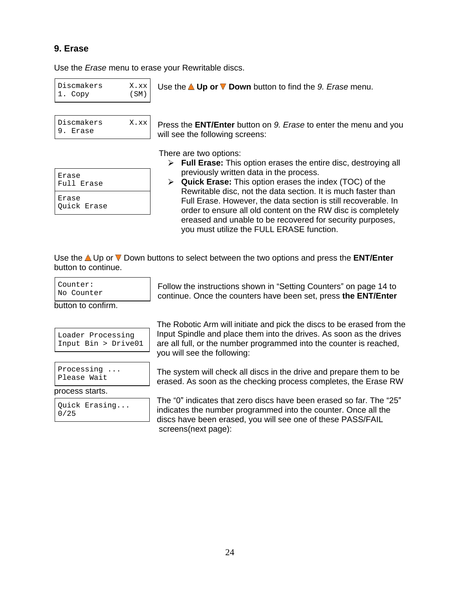#### **9. Erase**

Use the Erase menu to erase your Rewritable discs.

Discmakers  $X.xx$  Use the **A Up or V Down** button to find the 9. Erase menu.  $1. \text{ Copy}$  (SM)

| Discmakers | X.xx |
|------------|------|
| 9. Erase   |      |

| Erase<br>Full Erase  |  |
|----------------------|--|
| Erase<br>Quick Erase |  |

Press the **ENT/Enter** button on 9. Erase to enter the menu and you 9. Erase  $\vert$  will see the following screens: Use the **≜ Up or ▼ Down** button to find the *9. Erase* menu.<br>Press the **ENT/Enter** button on *9. Erase* to enter the menu and you will see the following screens:

There are two options:

- Erase **Full Erase:** This option erases the entire disc, destroying all previously written data in the process.
- Full Erase **Quick Erase:** This option erases the index (TOC) of the Erase **Exase Exase Exase Exase Exase In Ref. Full Erase. However, the data section is still recoverable. In** Quick Erase order to ensure all old content on the RW disc is completely Rewritable disc, not the data section. It is much faster than ereased and unable to be recovered for security purposes, you must utilize the FULL ERASE function.

Use the **△** Up or ▼ Down buttons to select between the two options and press the **ENT/Enter** button to continue.

button to confirm.

|  | Loader Processing      |
|--|------------------------|
|  | Input $Bin > Divide01$ |

process starts. The contract of the contract of the contract of the contract of the contract of the contract of the contract of the contract of the contract of the contract of the contract of the contract of the contract o

Counter: **Example 2** Follow the instructions shown in "Setting Counters" on page 14 to No Counter continue. Once the counters have been set, press **the ENT/Enter**

Loader Processing Input Spindle and place them into the drives. As soon as the drives Input Bin > Drive01 | are all full, or the number programmed into the counter is reached, The Robotic Arm will initiate and pick the discs to be erased from the you will see the following:

Processing ... | The system will check all discs in the drive and prepare them to be Please Wait erased. As soon as the checking process completes, the Erase RW

Quick Erasing...  $\left| \begin{array}{c} \vdots \\ \vdots \end{array} \right|$  indicates the sumber present and interferences the current  $\bigcap_{n=1}^{\infty}$  $\frac{1}{10/25}$  indicates the number programmed into the counter. Once all the The "0" indicates that zero discs have been erased so far. The "25" discs have been erased, you will see one of these PASS/FAIL screens(next page):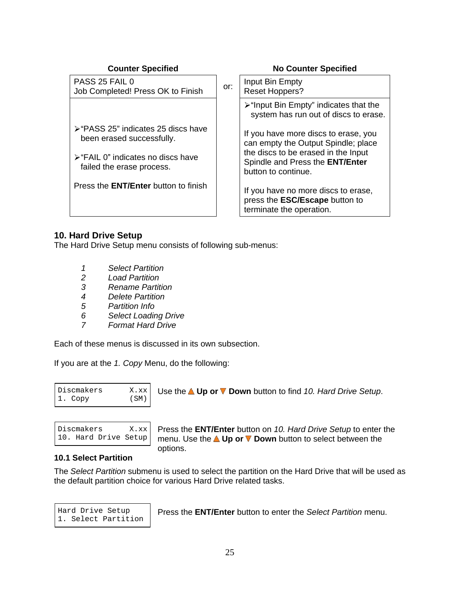| <b>Counter Specified</b>                                                       | <b>No Counter Specified</b>                                                                              |
|--------------------------------------------------------------------------------|----------------------------------------------------------------------------------------------------------|
| PASS 25 FAIL 0<br>Job Completed! Press OK to Finish                            | Input Bin Empty<br>or:<br>Reset Hoppers?                                                                 |
|                                                                                | ≻"Input Bin Empty" indicates that the<br>system has run out of discs to erase.                           |
| ≻ "PASS 25" indicates 25 discs have<br>been erased successfully.               | If you have more discs to erase, you<br>can empty the Output Spindle; place                              |
| $\triangleright$ "FAIL 0" indicates no discs have<br>failed the erase process. | the discs to be erased in the Input<br>Spindle and Press the <b>ENT/Enter</b><br>button to continue.     |
| Press the <b>ENT/Enter</b> button to finish                                    | If you have no more discs to erase,<br>press the <b>ESC/Escape</b> button to<br>terminate the operation. |

#### **10. Hard Drive Setup**

The Hard Drive Setup menu consists of following sub-menus:

- 1 Select Partition
- 2 Load Partition
- 3 Rename Partition
- 4 Delete Partition
- 5 Partition Info
- 6 Select Loading Drive
- 7 Format Hard Drive

Each of these menus is discussed in its own subsection.

If you are at the 1. Copy Menu, do the following:

| )iscmakers | Down button to find 10. Hard Drive Setup.<br>, Up or ¶<br>Use the .<br>3232 L<br><b>A.XX</b> |  |  |
|------------|----------------------------------------------------------------------------------------------|--|--|
|            | $\sqrt{2}$                                                                                   |  |  |

| Discmakers | X.xx                 |  |
|------------|----------------------|--|
|            | 10. Hard Drive Setup |  |

Press the **ENT/Enter** button on 10. Hard Drive Setup to enter the 10. Hard Drive Setup menu. Use the **Up or Down** button to select between the Use the **≜ Up or ▼ Down** button to find *10. Hard Drive Setup*.<br>Press the **ENT/Enter** button on *10. Hard Drive Setup* to enter the options.

#### **10.1 Select Partition**

The Select Partition submenu is used to select the partition on the Hard Drive that will be used as the default partition choice for various Hard Drive related tasks.

1. Select Partition

Hard Drive Setup Press the **ENT/Enter** button to enter the Select Partition menu.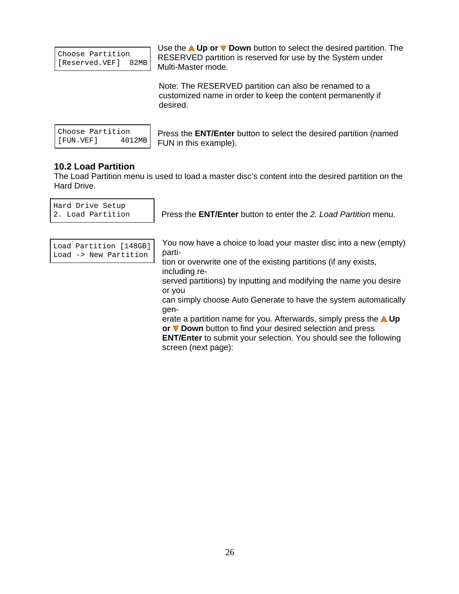| Choose Partition    |  |
|---------------------|--|
| [Reserved.VEF] 82MB |  |

Choose Partition RESERVED partition is reserved for use by the System under [Reserved.VEF] 82MB | Neutrino Martin motor is received for deep the eyelem direct Use the **A Up or V Down** button to select the desired partition. The Multi-Master mode.

Note: The RESERVED partition can also be renamed to a customized name in order to keep the content permanently if desired. The contract of the contract of the contract of the contract of the contract of the contract of the contract of the contract of the contract of the contract of the contract of the contract of the contract of the c

| Choose Partition |        |
|------------------|--------|
| [FUN.VEF]        | 4012MB |

Choose Partition Press the **ENT/Enter** button to select the desired partition (named  $[$  FUN. VEF  $]$  4012MB  $|$  FIIN in this example) FUN in this example).

#### **10.2 Load Partition**

The Load Partition menu is used to load a master disc's content into the desired partition on the Hard Drive. **Hard Drive.** The contract of the contract of the contract of the contract of the contract of the contract of the contract of the contract of the contract of the contract of the contract of the contract of the

Hard Drive Setup

2. Load Partition | Press the **ENT/Enter** button to enter the 2. Load Partition menu.

| Load Partition [148GB]<br>Load -> New Partition |
|-------------------------------------------------|

Load Partition [148GB] You now have a choice to load your master disc into a new (empty) Load -> New Partition | P<sup>aru-</sup> And Allian and Allian and Allian and Allian and Allian and Allian and Allian and A parti-

tion or overwrite one of the existing partitions (if any exists, including re-

served partitions) by inputting and modifying the name you desire or you

can simply choose Auto Generate to have the system automatically gen-twee states and the state of the state of the state of the state of the state of the state of the state of

erate a partition name for you. Afterwards, simply press the **A Up or V Down** button to find your desired selection and press

**ENT/Enter** to submit your selection. You should see the following screen (next page):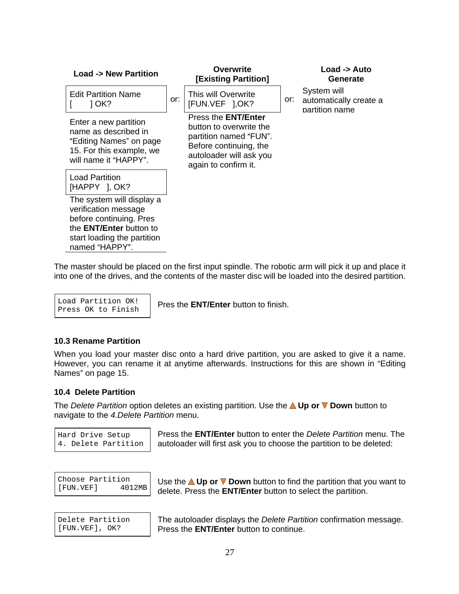| <b>Load -&gt; New Partition</b>                                                                                               | Overwrite<br>[Existing Partition]                                                                                                                            | Load -> Auto<br>Generate                                    |
|-------------------------------------------------------------------------------------------------------------------------------|--------------------------------------------------------------------------------------------------------------------------------------------------------------|-------------------------------------------------------------|
| <b>Edit Partition Name</b><br>J OK?                                                                                           | This will Overwrite<br>$\vert$ or: $\vert$ [FUN.VEF ], OK?                                                                                                   | System will<br>or: automatically create a<br>partition name |
| Enter a new partition<br>name as described in<br>"Editing Names" on page<br>15. For this example, we<br>will name it "HAPPY". | Press the <b>ENT/Enter</b><br>button to overwrite the<br>partition named "FUN".<br>Before continuing, the<br>autoloader will ask you<br>again to confirm it. |                                                             |
| Load Partition<br>$HAPPY$ ], OK?                                                                                              |                                                                                                                                                              |                                                             |
| The system will display a<br>verification message<br>before continuing. Pres                                                  |                                                                                                                                                              |                                                             |
| the <b>ENT/Enter</b> button to<br>start loading the partition<br>named "HAPPY".                                               |                                                                                                                                                              |                                                             |

The master should be placed on the first input spindle. The robotic arm will pick it up and place it into one of the drives, and the contents of the master disc will be loaded into the desired partition.

Press OK to Finish | The all **ENTERE** ballon to millon.

Load Partition  $OK!$   $\Box$  Prosibe **ENT/Enter** button to finish Pres the **ENT/Enter** button to finish.

#### **10.3 Rename Partition**

When you load your master disc onto a hard drive partition, you are asked to give it a name. However, you can rename it at anytime afterwards. Instructions for this are shown in "Editing Names" on page 15.

#### **10.4 Delete Partition**

The *Delete Partition* option deletes an existing partition. Use the **△ Up or ▼ Down** button to navigate to the 4.Delete Partition menu.

Hard Drive Setup Press the **ENT/Enter** button to enter the Delete Partition menu. The 4. Delete Partition | autoloader will first ask you to choose the partition to be deleted:

Choose Partition Use the **Up or Down** button to find the partition that you want to [FUN.VEF] 4012MB delete. Press the **ENT/Enter** button to select the partition.

Delete Partition | The autoloader displays the *Delete Partition* confirmation message. [FUN.VEF], OK? Press the **ENT/Enter** button to continue.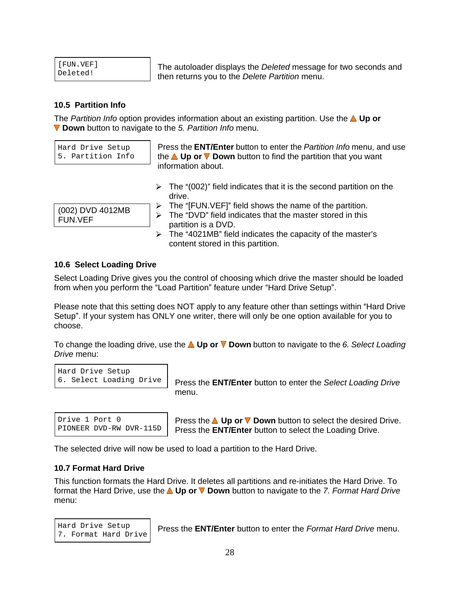| [FUN.VEF] |  |
|-----------|--|
| Deleted!  |  |

[FUN.VEF] The autoloader displays the Deleted message for two seconds and Deleted!<br>
then returns you to the *Delete Partition* menu.

#### **10.5 Partition Info**

The *Partition Info* option provides information about an existing partition. Use the **A Up or Down** button to navigate to the 5. Partition Info menu.

Hard Drive Setup Press the **ENT/Enter** button to enter the Partition Info menu, and use 5. Partition Info | the **△Up or V Down** button to find the partition that you want information about.

 $\triangleright$  The "(002)" field indicates that it is the second partition on the drive. **Example 20** and 20 and 20 and 20 and 20 and 20 and 20 and 20 and 20 and 20 and 20 and 20 and 20 and 20 and 20 and 20 and 20 and 20 and 20 and 20 and 20 and 20 and 20 and 20 and 20 and 20 and 20 and 20 and 20 and 20

- $\triangleright$  The "[FUN.VEF]" field shows the name of the partition.
- $(002)$  DVD 4012MB  $\rightarrow$  The "DVD" field indicates that the master stored in this partition is a DVD. FUN.VEF
	- $\triangleright$  The "4021MB" field indicates the capacity of the master's content stored in this partition.

#### **10.6 Select Loading Drive**

Select Loading Drive gives you the control of choosing which drive the master should be loaded from when you perform the "Load Partition" feature under "Hard Drive Setup".

Please note that this setting does NOT apply to any feature other than settings within "Hard Drive" Setup". If your system has ONLY one writer, there will only be one option available for you to choose. The choice of the contract of the contract of the contract of the contract of the contract of the contract of the contract of the contract of the contract of the contract of the contract of the contract of the cont

To change the loading drive, use the  $\triangle$  Up or  $\nabla$  Down button to navigate to the 6. Select Loading Drive menu:

```
Hard Drive Setup
```
6. Select Loading Drive Press the **ENT/Enter** button to enter the Select Loading Drive menu. The contract of the contract of the contract of the contract of the contract of the contract of the contract of the contract of the contract of the contract of the contract of the contract of the contract of the cont

Drive 1 Port 0  $\blacksquare$  Press the  $\blacksquare$  Up or  $\nabla$  Down button to select the desired Drive. PIONEER DVD-RW DVR-115D | Press the **ENT/Enter** button to select the Loading Drive. Press the **L Up or V Down** button to select the desired Drive.<br>PLONEER DVD-RW DVR-115D Press the **ENT/Enter** button to select the Loading Drive.<br>The selected drive will now be used to load a partition to the Hard Drive.

#### **10.7 Format Hard Drive**

This function formats the Hard Drive. It deletes all partitions and re-initiates the Hard Drive. To format the Hard Drive, use the **A Up or V Down** button to navigate to the 7. Format Hard Drive menu: when the contract of the contract of the contract of the contract of the contract of the contract of the contract of the contract of the contract of the contract of the contract of the contract of the contract of the

7. Format Hard Drive | Those are **ENTERION** Salon to only the *Format Francisco motion*.

Hard Drive Setup Press the **ENT/Enter** button to enter the Format Hard Drive menu.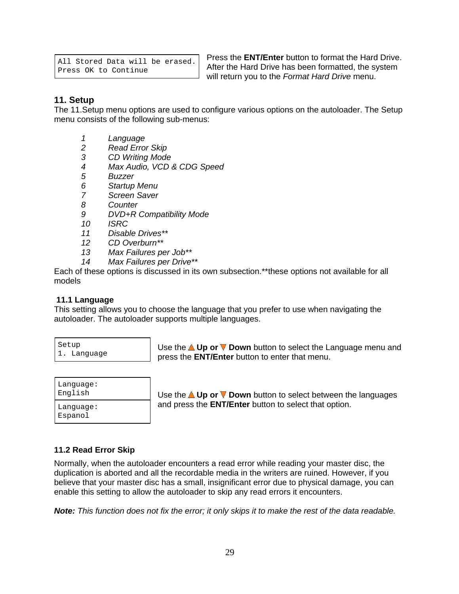```
All Stored Data will be erased.
```
Press OK to Continue **Principle After the Halu Dilve Has been formation**, the system Press the **ENT/Enter** button to format the Hard Drive. After the Hard Drive has been formatted, the system will return you to the Format Hard Drive menu.

#### **11. Setup**

The 11.Setup menu options are used to configure various options on the autoloader. The Setup menu consists of the following sub-menus:

- 1 Language
- 2 Read Error Skip
- 3 CD Writing Mode
- 4 Max Audio, VCD & CDG Speed
- 5 Buzzer
- 6 Startup Menu
- 7 Screen Saver
- 8 Counter contract to the contract of the contract of the contract of the contract of the contract of the contract of the contract of the contract of the contract of the contract of the contract of the contract of the cont
- 9 DVD+R Compatibility Mode
- 10 ISRC
- 11 Disable Drives\*\*
- 12 CD Overburn\*\*
- 13 Max Failures per Job\*\*
- 14 Max Failures per Drive\*\*

Each of these options is discussed in its own subsection.\*\*these options not available for all models

#### **11.1 Language**

This setting allows you to choose the language that you prefer to use when navigating the autoloader. The autoloader supports multiple languages.<br>│ <sub>Setup</sub> │ Use the **△ Up or ▼ Down** button to select the Language menu and

Setup Use the  $\triangle$  Up or  $\nabla$  Down button to select the Language menu and 1. Language press the **ENT/Enter** button to enter that menu.

| Language             | are ▲ Up or ▼ Down button to select between the languages    |
|----------------------|--------------------------------------------------------------|
| English              | Use the                                                      |
| Language:<br>Espanol | and press the <b>ENT/Enter</b> button to select that option. |

English Use the **Up or Down** button to select between the languages Language: **And press the ENT/Enter** button to select that option.

#### **11.2 Read Error Skip**

Normally, when the autoloader encounters a read error while reading your master disc, the duplication is aborted and all the recordable media in the writers are ruined. However, if you believe that your master disc has a small, insignificant error due to physical damage, you can enable this setting to allow the autoloader to skip any read errors it encounters.

**Note:** This function does not fix the error; it only skips it to make the rest of the data readable.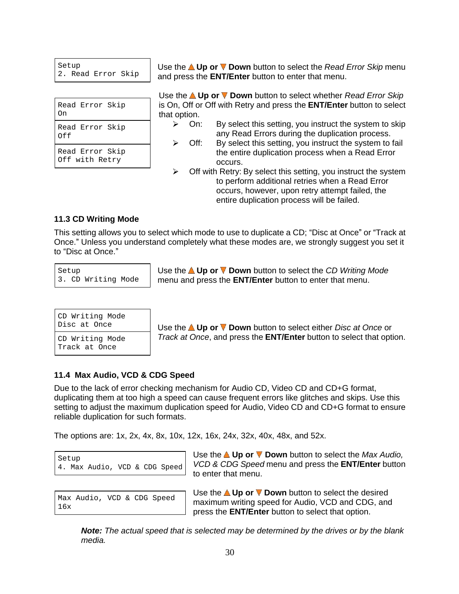| On    | Read Error Skip                                                                                                                            |  |
|-------|--------------------------------------------------------------------------------------------------------------------------------------------|--|
| l Off | Read Error Skip                                                                                                                            |  |
|       | Read Error Skip<br>$\bigcap_{i=1}^{n}$ $\bigcap_{i=1}^{n}$ $\bigcap_{i=1}^{n}$ $\bigcap_{i=1}^{n}$ $\bigcap_{i=1}^{n}$ $\bigcap_{i=1}^{n}$ |  |

Setup **Example 2 Use the △ Up or ▼ Down** button to select the *Read Error Skip* menu 2. Read Error Skip and press the **ENT/Enter** button to enter that menu.

Read Error Skip is On, Off or Off with Retry and press the **ENT/Enter** button to select On that option. Use the **△Up or ▼ Down** button to select whether Read Error Skip that option.

- Read Error Skip  $\sim$  011. By Select this setting, you instruct the system to skip Off any Read Errors during the duplication process. On: By select this setting, you instruct the system to skip
- Read Error Skip  $\begin{array}{|c|c|}\n\hline\n\end{array}$  the entire duplication process when a Read Error Off with Retry and the contraction of the contract of the contract of the contract of the contract of the contract of the contract of the contract of the contract of the contract of the contract of the contract of the cont Off: By select this setting, you instruct the system to fail occurs. The contract of the contract of the contract of the contract of the contract of the contract of the contract of the contract of the contract of the contract of the contract of the contract of the contract of the co
	- $\blacktriangleright$ Off with Retry: By select this setting, you instruct the system to perform additional retries when a Read Error occurs, however, upon retry attempt failed, the entire duplication process will be failed.

#### **11.3 CD Writing Mode**

This setting allows you to select which mode to use to duplicate a CD; "Disc at Once" or "Track at Once." Unless you understand completely what these modes are, we strongly suggest you set it to "Disc at Once." **Example 20** is a set of the contract of the contract of the contract of the contract of the contract of the contract of the contract of the contract of the contract of the contract of the contract of th

Setup **No. 2018 Use the △Up or ▼ Down** button to select the CD Writing Mode 3. CD Writing Mode menu and press the **ENT/Enter** button to enter that menu.

| CD Writing Mode |                                                                              |
|-----------------|------------------------------------------------------------------------------|
| Disc at Once    | r ▼ Down button to select either Disc at Once or<br>, Up or \<br>Use the $/$ |
|                 | -----<br>$\sim$ $\sim$                                                       |

Track at Once and the set of the set of the set of the set of the set of the set of the set of the set of the set of the set of the set of the set of the set of the set of the set of the set of the set of the set of the se

Disc at Once **Up or V Down** button to select either Disc at Once or CD Writing Mode Track at Once, and press the **ENT/Enter** button to select that option.

#### **11.4 Max Audio, VCD & CDG Speed**

Due to the lack of error checking mechanism for Audio CD, Video CD and CD+G format, duplicating them at too high a speed can cause frequent errors like glitches and skips. Use this setting to adjust the maximum duplication speed for Audio, Video CD and CD+G format to ensure reliable duplication for such formats.

The options are: 1x, 2x, 4x, 8x, 10x, 12x, 16x, 24x, 32x, 40x, 48x, and 52x.

| Setup                         |  |  |  |
|-------------------------------|--|--|--|
| 4. Max Audio, VCD & CDG Speed |  |  |  |

Setup  $\left\vert \right.$  Setule  $\left\vert \right.$  Objective  $\left\vert \right.$  Op of  $\vee$  Down button to select the  $T$  Max Audio, 4. Max Audio, VCD & CDG Speed VCD & CDG Speed menu and press the **ENT/Enter** button Use the **△ Up or ▼ Down** button to select the *Max Audio*, to enter that menu.

Max Audio, VCD & CDG Speed | USS and Up of  $\bullet$  Down ballom to screen in decision and CDG, and  $16x$  means the FNIT special with the special behavior of  $\sim 16x$ . Use the **△Up or ▼ Down** button to select the desired press the **ENT/Enter** button to select that option.

**Note:** The actual speed that is selected may be determined by the drives or by the blank media.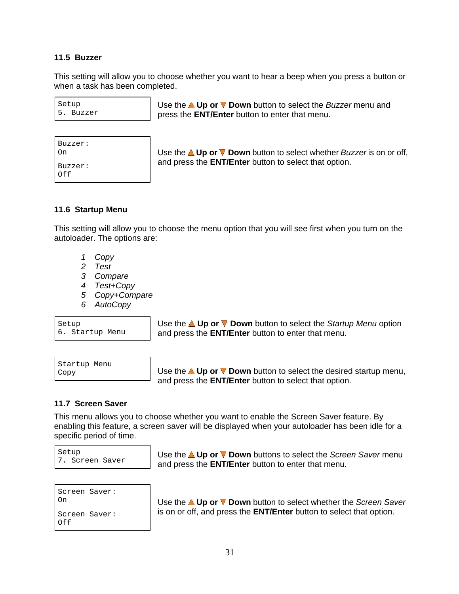#### **11.5 Buzzer**

This setting will allow you to choose whether you want to hear a beep when you press a button or when a task has been completed.

| Setup |           |  |  |  |
|-------|-----------|--|--|--|
|       | 5. Buzzer |  |  |  |

Setup **Example 2 Use the △Up or ▼ Down** button to select the *Buzzer* menu and 5. Buzzer press the **ENT/Enter** button to enter that menu.

0n **Down button to select whether Buzzer is on or off,** Use the **△ Up or V Down** button to select whether Buzzer is on or off,  $Buzzer:$  and pressure **ENTIFING** battom to select that option. and press the **ENT/Enter** button to select that option.

#### **11.6 Startup Menu**

This setting will allow you to choose the menu option that you will see first when you turn on the autoloader. The options are:

- 1 Copy
- 2 Test
- 3 Compare **3 Compare** 2008 **Compare** 2008 **Compare** 2008 **Compare** 2008 **Compare**
- 4 Test+Copy
- 5 Copy+Compare
- 6 AutoCopy

Setup **Example 2018** Use the ▲ Up or ▼ Down button to select the S*tartup Menu* option 6. Startup Menu and press the **ENT/Enter** button to enter that menu.

| Startup Menu |  |
|--------------|--|
| Copy         |  |

Startup Menu and the contract of the contract of the contract of the contract of the contract of the contract of the contract of the contract of the contract of the contract of the contract of the contract of the contract <sub>Copy</sub> Ferrican and Use the **△Up or ▼ Down** button to select the desired startup menu, and press the **ENT/Enter** button to select that option.

#### **11.7 Screen Saver**

This menu allows you to choose whether you want to enable the Screen Saver feature. By enabling this feature, a screen saver will be displayed when your autoloader has been idle for a specific period of time.

| Setup |                 |  |
|-------|-----------------|--|
|       | 7. Screen Saver |  |

Setup
<br> **Use the ▲ Up or V Down** buttons to select the Screen Saver menu 7. Screen Saver and press the **ENT/Enter** button to enter that menu.

<sup>On</sup> **Use the ▲ Up or ▼ Down** button to select whether the Screen Saver Screen Saver: **independent is on or off, and press the ENT/Enter** button to select that option.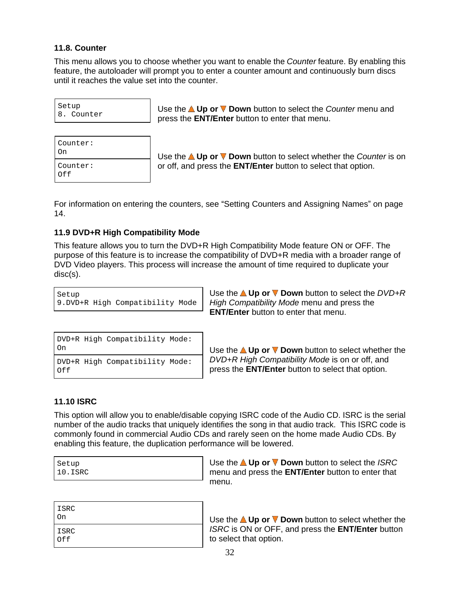#### **11.8. Counter**

This menu allows you to choose whether you want to enable the Counter feature. By enabling this feature, the autoloader will prompt you to enter a counter amount and continuously burn discs until it reaches the value set into the counter.

Setup **Use the <b>△Up or V** Down button to select the *Counter* menu and 8. Counter press the **ENT/Enter** button to enter that menu.

<u>On</u> △ Use the **△ Up or ▼ Down** button to select whether the *Counter* is on Counter: or off, and press the **ENT/Enter** button to select that option.

For information on entering the counters, see "Setting Counters and Assigning Names" on page 14.

#### **11.9 DVD+R High Compatibility Mode**

This feature allows you to turn the DVD+R High Compatibility Mode feature ON or OFF. The purpose of this feature is to increase the compatibility of DVD+R media with a broader range of DVD Video players. This process will increase the amount of time required to duplicate your disc(s).

Setup **Example 2018** Use the △Up or ▼ Down button to select the DVD+R 9.DVD+R High Compatibility Mode | High Compatibility Mode menu and press the **ENT/Enter** button to enter that menu.

| DVD+R High Compatibility Mode: |                                                                                     |
|--------------------------------|-------------------------------------------------------------------------------------|
|                                | Use the $\triangle$ Up or $\nabla$ Down button to select whether the                |
|                                | $DVD_{LR}$ High Compatibility Mode: DVD+R High Compatibility Mode is on or off, and |

DVD+R High Compatibility Mode: |  $\bm{\mathsf{DVD+R}}$  High Compatibility Mode is on or off, and Of f **ENT/Enter** button to select that option.

#### **11.10 ISRC**

This option will allow you to enable/disable copying ISRC code of the Audio CD. ISRC is the serial number of the audio tracks that uniquely identifies the song in that audio track. This ISRC code is commonly found in commercial Audio CDs and rarely seen on the home made Audio CDs. By enabling this feature, the duplication performance will be lowered.

| Setup   |  |  |
|---------|--|--|
| 10.ISRC |  |  |

Setup **Example 2018** Use the △Up or ▼ Down button to select the *ISRC* 10.ISRC menu and press the **ENT/Enter** button to enter that menu. **Exercía e a contra a contra a contra a contra a contra a contra a contra a contra a contra a contra a contra a contra a contra a contra a contra a contra a contra a contra a contra a contra a contra a contra a contr** 

| ISRC<br>On | Use the $\triangle$ Up or $\nabla$ Down button to select whether the |
|------------|----------------------------------------------------------------------|
| ISRC       | ISRC is ON or OFF, and press the <b>ENT/Enter</b> button             |
| Off        | to select that option.                                               |

On **Download Conduct of Up of ■** Use the **△ Up or ■ Down** button to select whether the ISRC ISRC is ON or OFF, and press the **ENT/Enter** button  $\mathsf{Off}$  and  $\mathsf{Def}$  to select that option. to select that option.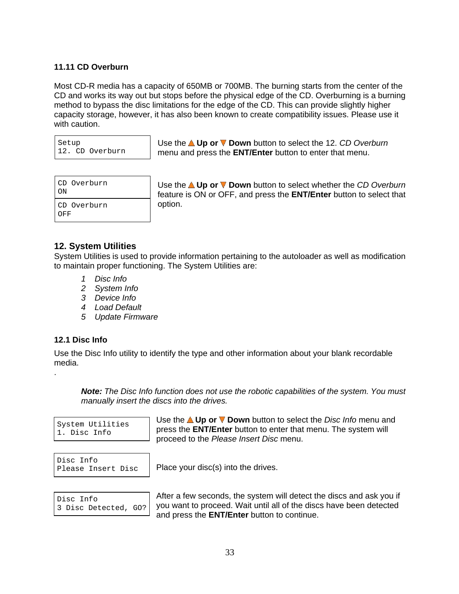#### **11.11 CD Overburn**

Most CD-R media has a capacity of 650MB or 700MB. The burning starts from the center of the CD and works its way out but stops before the physical edge of the CD. Overburning is a burning method to bypass the disc limitations for the edge of the CD. This can provide slightly higher capacity storage, however, it has also been known to create compatibility issues. Please use it with caution. The contract of the contract of the contract of the contract of the contract of the contract of the contract of the contract of the contract of the contract of the contract of the contract of the contract of

| Setup |                 |
|-------|-----------------|
|       | 12. CD Overburn |

Setup
→ Use the **△Up or ▼ Down** button to select the 12. CD Overburn 12. CD Overburn menu and press the **ENT/Enter** button to enter that menu.

| CD Overburn<br>ON  | Use the <b>△Up or ▼ Down</b> button to select whether the CD Overburn<br>feature is ON or OFF, and press the <b>ENT/Enter</b> button to select that |  |
|--------------------|-----------------------------------------------------------------------------------------------------------------------------------------------------|--|
| CD Overburn<br>OFF | option.                                                                                                                                             |  |

CD Overburn Use the **Up or Down** button to select whether the CD Overburn ON feature is ON or OFF, and press the **ENT/Enter** button to select that CD Overburn (Delion. ) and the contract of the contract of the contract of the contract of the contract of the contract of the contract of the contract of the contract of the contract of the contract of the contract of the option.

#### **12. System Utilities**

System Utilities is used to provide information pertaining to the autoloader as well as modification to maintain proper functioning. The System Utilities are:

- 1 Disc Info
- 2 System Info
- 3 Device Info
- 4 Load Default
- 5 Update Firmware

#### **12.1 Disc Info**

.

Use the Disc Info utility to identify the type and other information about your blank recordable media.

**Note:** The Disc Info function does not use the robotic capabilities of the system. You must manually insert the discs into the drives.

System Utilities **by the Library of the Second System Utilities**<br>a pisc Info 1. Disc Info Press the ENTER Dutton to effect that members system will Use the **△ Up or ▼ Down** button to select the *Disc Info* menu and proceed to the Please Insert Disc menu.

Disc Info $\qquad$ 

Please Insert Disc | Place your disc(s) into the drives.

| Disc Info |                      |  |
|-----------|----------------------|--|
|           | 3 Disc Detected, GO? |  |

After a few seconds, the system will detect the discs and ask you if act can be considered a good want to proceed. Wait until all of the discs have been detected Place your disc(s) into the drives.<br>After a few seconds, the system will detect the discs and ask you if and press the **ENT/Enter** button to continue.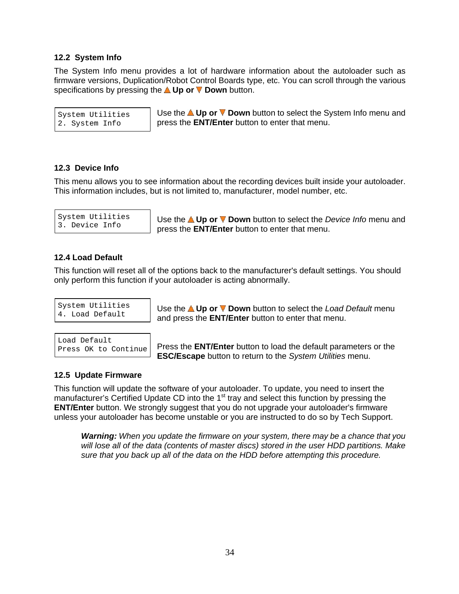#### **12.2 System Info**

The System Info menu provides a lot of hardware information about the autoloader such as firmware versions, Duplication/Robot Control Boards type, etc. You can scroll through the various specifications by pressing the **A Up or V Down** button.

 $_\mathrm{System~Utilities}$   $\qquad$  Use the **∆ Up or V Down** button to select the System Info menu and 2. System Info press the **ENT/Enter** button to enter that menu.

#### **12.3 Device Info**

This menu allows you to see information about the recording devices built inside your autoloader. This information includes, but is not limited to, manufacturer, model number, etc.

System Utilities | Use the **△Up or ▼Down** button to select the *Device Info* menu and 3. Device Info press the **ENT/Enter** button to enter that menu.

#### **12.4 Load Default**

This function will reset all of the options back to the manufacturer's default settings. You should only perform this function if your autoloader is acting abnormally.

System Utilities | Use the **△ Up or ▼ Down** button to select the *Load Default* menu 4. Load Default and press the **ENT/Enter** button to enter that menu.

Load Default Press OK to Continue | Press the **ENT/Enter** button to load the default parameters or the **ESC/Escape** button to return to the System Utilities menu.

#### **12.5 Update Firmware**

This function will update the software of your autoloader. To update, you need to insert the manufacturer's Certified Update CD into the 1<sup>st</sup> tray and select this function by pressing the **ENT/Enter** button. We strongly suggest that you do not upgrade your autoloader's firmware unless your autoloader has become unstable or you are instructed to do so by Tech Support.

**Warning:** When you update the firmware on your system, there may be a chance that you will lose all of the data (contents of master discs) stored in the user HDD partitions. Make sure that you back up all of the data on the HDD before attempting this procedure.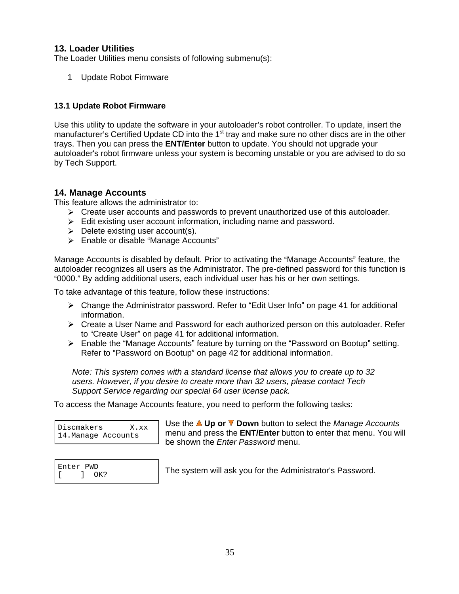#### **13. Loader Utilities**

The Loader Utilities menu consists of following submenu(s):

1 Update Robot Firmware

#### **13.1 Update Robot Firmware**

Use this utility to update the software in your autoloader's robot controller. To update, insert the manufacturer's Certified Update CD into the 1<sup>st</sup> tray and make sure no other discs are in the other trays. Then you can press the **ENT/Enter** button to update. You should not upgrade your autoloader's robot firmware unless your system is becoming unstable or you are advised to do so by Tech Support.

#### **14. Manage Accounts**

This feature allows the administrator to:

- $\triangleright$  Create user accounts and passwords to prevent unauthorized use of this autoloader.<br>  $\triangleright$  Edit existing user account information, including name and password.
- 
- $\triangleright$  Delete existing user account(s).
- $\triangleright$  Enable or disable "Manage Accounts"

Manage Accounts is disabled by default. Prior to activating the "Manage Accounts" feature, the autoloader recognizes all users as the Administrator. The pre-defined password for this function is 0000. By adding additional users, each individual user has his or her own settings.

To take advantage of this feature, follow these instructions:

- $\triangleright$  Change the Administrator password. Refer to "Edit User Info" on page 41 for additional information.
- $\triangleright$  Create a User Name and Password for each authorized person on this autoloader. Refer to "Create User" on page 41 for additional information.
- $\triangleright$  Enable the "Manage Accounts" feature by turning on the "Password on Bootup" setting. Refer to "Password on Bootup" on page 42 for additional information.

Note: This system comes with a standard license that allows you to create up to 32 users. However, if you desire to create more than 32 users, please contact Tech Support Service regarding our special 64 user license pack.

To access the Manage Accounts feature, you need to perform the following tasks:

| Discmakers          | X.xx |
|---------------------|------|
| 14. Manage Accounts |      |

Discmakers X.xx 14.Manage Accounts menu and press the **ENT/Enter** button to enter that menu. You will Use the **△ Up or ▼ Down** button to select the Manage Accounts be shown the Enter Password menu.

Enter PWD **The system will ask you for the Administrator's Password.**  $[$   $]$  OK?  $]$  ine system will ask you for the Administrator S I assword.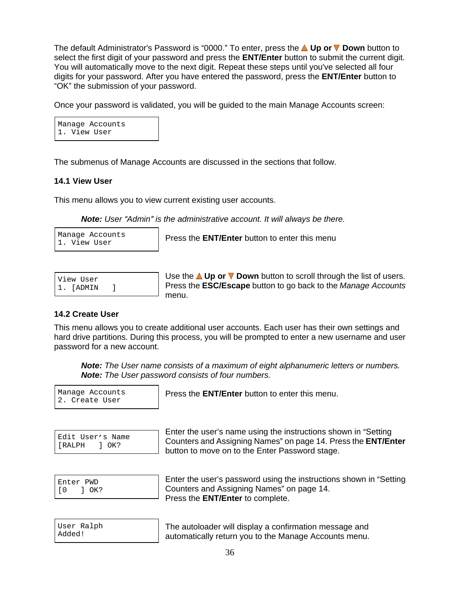The default Administrator's Password is "0000." To enter, press the **△ Up or V Down** button to select the first digit of your password and press the **ENT/Enter** button to submit the current digit. You will automatically move to the next digit. Repeat these steps until you've selected all four digits for your password. After you have entered the password, press the **ENT/Enter** button to "OK" the submission of your password.

Once your password is validated, you will be guided to the main Manage Accounts screen:

Manage Accounts 1. View User

The submenus of Manage Accounts are discussed in the sections that follow.

#### **14.1 View User**

This menu allows you to view current existing user accounts.

**Note:** User "Admin" is the administrative account. It will always be there.

| Manage Accounts |  |
|-----------------|--|
| 1. View User    |  |

Manage Accounts Press the **ENT/Enter** button to enter this menu 1. View User **1. 1999 The Little House** Band of Chief and Historic

| View User |  |
|-----------|--|
| 1. [ADMIN |  |

View User **Up of V Down** button to scroll through the list of users. 1. [ADMIN ] **Press the ESC/Escape** button to go back to the *Manage Accounts* menu. The contract of the contract of the contract of the contract of the contract of the contract of the contract of the contract of the contract of the contract of the contract of the contract of the contract of the cont

#### **14.2 Create User**

This menu allows you to create additional user accounts. Each user has their own settings and hard drive partitions. During this process, you will be prompted to enter a new username and user password for a new account.

**Note:** The User name consists of a maximum of eight alphanumeric letters or numbers. **Note:** The User password consists of four numbers.

2. Create User

Manage Accounts Press the **ENT/Enter** button to enter this menu.

|               |                | Edit User's Name |  |
|---------------|----------------|------------------|--|
| <b>TRALPH</b> | $\overline{X}$ |                  |  |

Edit User's Name<br>
Counters and Assigning Names" on page 14. Press the **ENT/Enter** [RALPH ] OK? Enter the user's name using the instructions shown in "Setting" button to move on to the Enter Password stage.

| Enter PWD         | Enter the user's password using the instructions shown in "Setting |  |  |
|-------------------|--------------------------------------------------------------------|--|--|
| $F \cap C$<br>OK? | Counters and Assigning Names" on page 14.                          |  |  |
|                   | Press the <b>ENT/Enter</b> to complete.                            |  |  |

|        | User Ralph |
|--------|------------|
| Added! |            |

User Ralph The autoloader will display a confirmation message and Added! automatically return you to the Manage Accounts menu.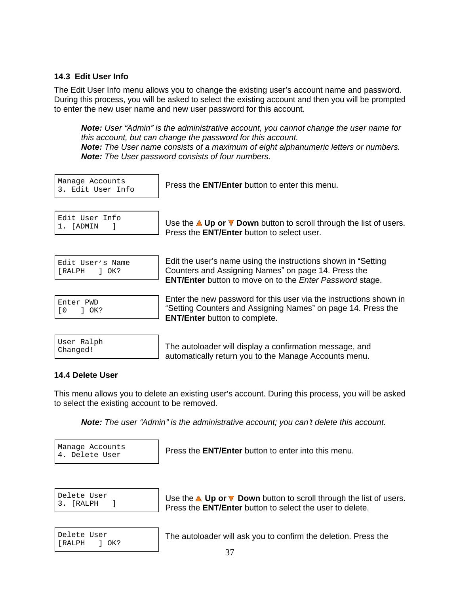#### **14.3 Edit User Info**

The Edit User Info menu allows you to change the existing user's account name and password. During this process, you will be asked to select the existing account and then you will be prompted to enter the new user name and new user password for this account.

**Note:** User "Admin" is the administrative account, you cannot change the user name for this account, but can change the password for this account. **Note:** The User name consists of a maximum of eight alphanumeric letters or numbers. **Note:** The User password consists of four numbers.

Manage Accounts Press the **ENT/Enter** button to enter this menu. 3. Edit User Info $\begin{bmatrix} 1 & 1 & 0 & 0 \\ 0 & 0 & 1 & 0 \\ 0 & 0 & 0 & 0 \\ 0 & 0 & 0 & 0 \\ 0 & 0 & 0 & 0 \\ 0 & 0 & 0 & 0 \\ 0 & 0 & 0 & 0 \\ 0 & 0 & 0 & 0 \\ 0 & 0 & 0 & 0 \\ 0 & 0 & 0 & 0 \\ 0 & 0 & 0 & 0 \\ 0 & 0 & 0 & 0 & 0 \\ 0 & 0 & 0 & 0 & 0 \\ 0 & 0 & 0 & 0 & 0 \\ 0 & 0 & 0 & 0 & 0 \\ 0 & 0$ 

| Edit User Info |  |
|----------------|--|
| 1. [ADMIN      |  |

Edit User  $Info$   $\left| \right|$  the the Allman  $\blacksquare$  Desum button to earn through the list of users  $\frac{1}{1}$ .  $\frac{1}{2}$  [ADMIN  $\frac{1}{2}$  **Use the <b>AUp or V Down** button to scroll through the list of users. Press the **ENT/Enter** button to select user.

|               |  | Edit User's Name |  |
|---------------|--|------------------|--|
| <b>TRALPH</b> |  | $1.0K$ ?         |  |

 $_{\rm{Edit\text{ \,\,}USer\,\,}S\text{ \,\,}Name}$   $\qquad$   $\mid$  Edit the user's name using the instructions shown in "Setting [RALPH ] OK? **Counters and Assigning Names**" on page 14. Press the **ENT/Enter** button to move on to the Enter Password stage.

| Enter PWD      |      |  |
|----------------|------|--|
| $\overline{0}$ | OK ? |  |

Enter PWD Enter the new password for this user via the instructions shown in EISSE THE THE THE SETTING COUNTERTS AND ASSIGNING Names" on page 14. Press the THE TO THE SETTING THE THE THE T **ENT/Enter** button to complete.

|          | User Ralph |  |
|----------|------------|--|
| Changed! |            |  |

User Ralph The autoloader will display a confirmation message, and Changed! automatically return you to the Manage Accounts menu.

#### **14.4 Delete User**

This menu allows you to delete an existing user's account. During this process, you will be asked to select the existing account to be removed.

**Note:** The user "Admin" is the administrative account; you can't delete this account.

Manage Accounts Press the **ENT/Enter** button to enter into this menu. 4. Delete User **First Report Follows** and **ENTIFIED DURING INCORPORATION** INSTITUTION

Delete User **Delete Up or V** Down button to scroll through the list of users. 3. [RALPH ] Press the **ENT/Enter** button to select the user to delete.

[RALPH ] OK?

Delete User The autoloader will ask you to confirm the deletion. Press the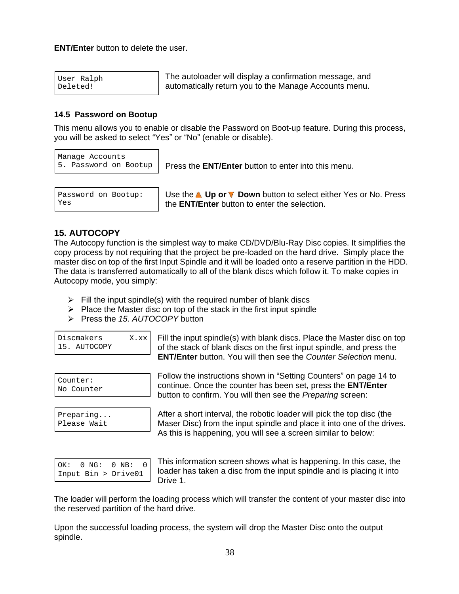**ENT/Enter** button to delete the user

|          | User Ralph |
|----------|------------|
| Deleted! |            |

User Ralph The autoloader will display a confirmation message, and Deleted! automatically return you to the Manage Accounts menu.

#### **14.5 Password on Bootup**

This menu allows you to enable or disable the Password on Boot-up feature. During this process, you will be asked to select "Yes" or "No" (enable or disable).

Manage Accounts

5. Password on Bootup Press the **ENT/Enter** button to enter into this menu.

| Password on Bootup: |  |
|---------------------|--|
| Yes                 |  |

Password on Bootup: | Use the **△ Up or V Down** button to select either Yes or No. Press Yes the **ENT/Enter** button to enter the selection.

### **15. AUTOCOPY**

The Autocopy function is the simplest way to make CD/DVD/Blu-Ray Disc copies. It simplifies the copy process by not requiring that the project be pre-loaded on the hard drive. Simply place the master disc on top of the first Input Spindle and it will be loaded onto a reserve partition in the HDD. The data is transferred automatically to all of the blank discs which follow it. To make copies in Autocopy mode, you simply:

- $\triangleright$  Fill the input spindle(s) with the required number of blank discs
- Place the Master disc on top of the stack in the first input spindle<br>
Press the 15. AUTOCOPY button
- Press the 15. AUTOCOPY button **Example 20** Section 20 AU and 20 AU and 20 AU and 20 AU and 20 AU and 20 AU and 20 AU and 20 AU and 20 AU and 20 AU and 20 AU and 20 AU and 20 AU and 20 AU and 20 AU and 20 AU and 20 AU and 2

Discmakers X.xx Fill the input spindle(s) with blank discs. Place the Master disc on top 15. AUTOCOPY of the stack of blank discs on the first input spindle, and press the **ENT/Enter** button. You will then see the Counter Selection menu.

Counter:  $\blacksquare$  continue the exploration of the counter of the counter of  $\blacksquare$ No Counter continue. Once the counter has been set, press the **ENT/Enter** Follow the instructions shown in "Setting Counters" on page 14 to button to confirm. You will then see the Preparing screen:

Preparing... After a short interval, the robotic loader will pick the top disc (the Please Wait Maser Disc) from the input spindle and place it into one of the drives. As this is happening, you will see a screen similar to below:

| OK: $0 \text{ NG: } 0 \text{ NB: } 0$ |  |  |  |
|---------------------------------------|--|--|--|
| Input Bin > Drive01                   |  |  |  |

 $OK: 0 \text{ NG}: 0 \text{ NB}: 0$  | This information screen shows what is nappermity. In this case, the Input Bin > Drive01 loader has taken a disc from the input spindle and is placing it into This information screen shows what is happening. In this case, the Drive 1.

The loader will perform the loading process which will transfer the content of your master disc into the reserved partition of the hard drive.

Upon the successful loading process, the system will drop the Master Disc onto the output spindle.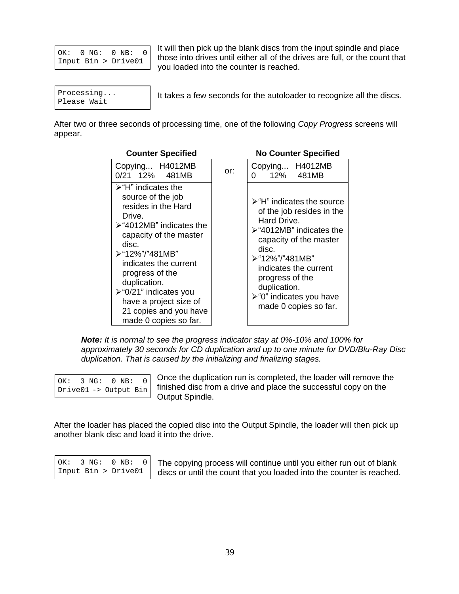$\alpha$  OK: 0 NG: 0 NB: 0  $\mu$  these integrates with sitting all of the divisor and full as the square that Input  $\text{Bin} > \text{Dir}(\theta)$  those into drives until either all of the drives are full, or the count that It will then pick up the blank discs from the input spindle and place you loaded into the counter is reached.

Processing... | It takes a few seconds for the autoloader to recognize all the discs. Please Wait and the contract of the contract of the contract of the contract of the contract of the contract of the contract of the contract of the contract of the contract of the contract of the contract of the contract o

After two or three seconds of processing time, one of the following Copy Progress screens will appear.

| <b>Counter Specified</b>                                                                                                                                                                                                                                                                                                                                   |     | <b>No Counter Specified</b>                                                                                                                                                                                                                                                                                           |  |  |  |  |  |  |  |  |  |
|------------------------------------------------------------------------------------------------------------------------------------------------------------------------------------------------------------------------------------------------------------------------------------------------------------------------------------------------------------|-----|-----------------------------------------------------------------------------------------------------------------------------------------------------------------------------------------------------------------------------------------------------------------------------------------------------------------------|--|--|--|--|--|--|--|--|--|
| Copying H4012MB<br>0/21 12% 481MB                                                                                                                                                                                                                                                                                                                          | or: | Copying H4012MB<br>$\begin{vmatrix} 0 & 12\% & 481MB \end{vmatrix}$                                                                                                                                                                                                                                                   |  |  |  |  |  |  |  |  |  |
| $\triangleright$ "H" indicates the<br>source of the job<br>resides in the Hard<br>Drive.<br>$\triangleright$ "4012MB" indicates the<br>capacity of the master<br>disc.<br>>"12%"/"481MB"<br>indicates the current<br>progress of the<br>duplication.<br>≻"0/21" indicates you<br>have a project size of<br>21 copies and you have<br>made 0 copies so far. |     | $\triangleright$ "H" indicates the source<br>of the job resides in the<br>Hard Drive.<br>$\triangleright$ "4012MB" indicates the<br>capacity of the master<br>disc.<br>>"12%"/"481MB"<br>indicates the current<br>progress of the<br>duplication.<br>$\triangleright$ "0" indicates you have<br>made 0 copies so far. |  |  |  |  |  |  |  |  |  |

**Note:** It is normal to see the progress indicator stayat 0%-10% and 100% for approximately 30 seconds for CD duplication and up to one minute for DVD/Blu-Ray Disc duplication. That is caused by the initializing and finalizing stages.

| OK: 3 NG: 0 NB: 0     |  |  |  |
|-----------------------|--|--|--|
| Drive01 -> Output Bin |  |  |  |

 $\overline{O(K: 3 \text{ NG}: 0 \text{ NB}: 0)}$  Once the duplication run is completed, the loader will remove the finished disc from a drive and place the successful copy on the Output Spindle.

After the loader has placed the copied disc into the Output Spindle, the loader will then pick up another blank disc and load it into the drive.

| OK: 3 NG: 0 NB: 0   |  |  |  |
|---------------------|--|--|--|
| Input Bin > Drive01 |  |  |  |

OK: 3 NG: 0 NB: 0 The copying process will continue until you either run out of blank Input Bin > Drive01 discs or until the count that you loaded into the counter is reached.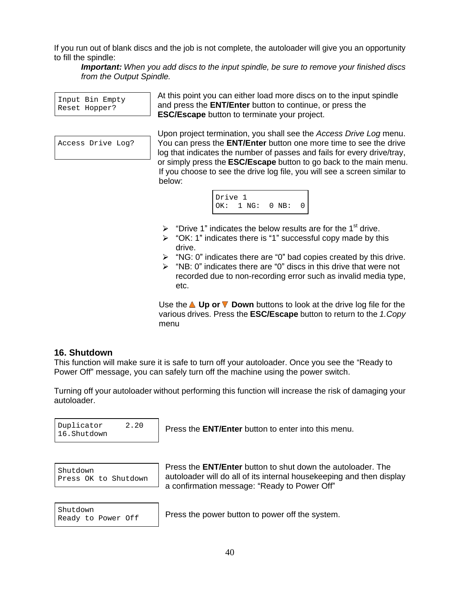If you run out of blank discs and the job is not complete, the autoloader will give you an opportunity to fill the spindle:

**Important:** When you add discs to the input spindle, be sure to remove your finished discs from the Output Spindle.

Input Bin  $Empty$   $\left\lvert$   $\mathcal{H} \right\rvert$  and  $p$  and  $p$  and  $p$  and  $p$  and  $p$  and  $p$  and  $p$  and  $p$  and  $p$  and  $p$  and  $p$  and  $p$  and  $p$  and  $p$  and  $p$  and  $p$  and  $p$  and  $p$  and  $p$  and  $p$  and  $p$  and  $p$  and  $p$  a Enterch Bin Enterprise and press the **ENT/Enter** button to continue, or press the At this point you can either load more discs on to the input spindle

Access Drive Log? You can press the **ENT/Enter** button one more time to see the drive **ESC/Escape** button to terminate your project.<br>Upon project termination, you shall see the *Access Drive Log* menu. log that indicates the number of passes and fails for every drive/tray, or simply press the **ESC/Escape** button to go back to the main menu. If you choose to see the drive log file, you will see a screen similar to below: when the contract of the contract of the contract of the contract of the contract of the contract of the contract of the contract of the contract of the contract of the contract of the contract of the contract of th



- $\triangleright$  "Drive 1" indicates the below results are for the 1<sup>st</sup> drive. <sup>st</sup> drive.
- $\triangleright$  "OK: 1" indicates there is "1" successful copy made by this drive. **Example 20** and 20 and 20 and 20 and 20 and 20 and 20 and 20 and 20 and 20 and 20 and 20 and 20 and 20 and 20 and 20 and 20 and 20 and 20 and 20 and 20 and 20 and 20 and 20 and 20 and 20 and 20 and 20 and 20 and 20
- $\triangleright$  "NG: 0" indicates there are "0" bad copies created by this drive.
- $\triangleright$  "NB: 0" indicates there are "0" discs in this drive that were not recorded due to non-recording error such as invalid media type, etc. The contract of the contract of the contract of the contract of the contract of the contract of the contract of the contract of the contract of the contract of the contract of the contract of the contract of the contr

Use the **A Up or V** Down buttons to look at the drive log file for the various drives. Press the **ESC/Escape** button to return to the 1.Copy menu **menu** and the state of the state of the state of the state of the state of the state of the state of the state of the state of the state of the state of the state of the state of the state of the state of the state o

#### **16. Shutdown**

This function will make sure it is safe to turn off your autoloader. Once you see the "Ready to Power Off" message, you can safely turn off the machine using the power switch.

Turning off your autoloader without performing this function will increase the risk of damaging your autoloader.<br>Puplicator 2.20 Press the **ENT/Enter** button to enter into this menu.

16. Shutdown **16.** These are **ENTIFIED** batter to enter the answership.

Duplicator  $\begin{array}{|l|l|}\n\hline\n2.20 & \text{Press the ENT/Enter button to enter into this menu.}\n\end{array}$ 

Shutdown  $\begin{bmatrix} \text{F} & \text{F} & \text{F} & \text{F} \\ \text{F} & \text{F} & \text{F} & \text{F} \end{bmatrix}$ Press\_0K\_to\_Shutdown | autoloader will do all of its internal housekeeping and then display Press the **ENT/Enter** button to shut down the autoloader. The a confirmation message: "Ready to Power Off"

Shutdown Processing Decomption to power of the overcommunity of the system Ready to Power Off  $\left\vert \right\vert$  riess lie power building power on the system. Press the power button to power off the system.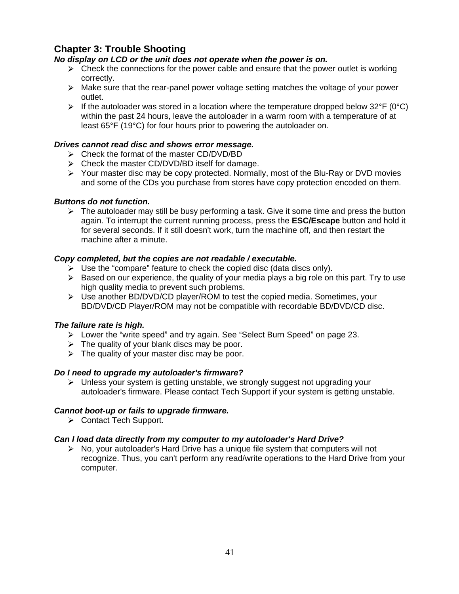### **Chapter 3: Trouble Shooting**

#### **No display on LCD or the unit does not operate when the power is on.**

- $\triangleright$  Check the connections for the power cable and ensure that the power outlet is working correctly.
- $\triangleright$  Make sure that the rear-panel power voltage setting matches the voltage of your power outlet.
- If the autoloader was stored in a location where the temperature dropped below 32°F (0°C) within the past 24 hours, leave the autoloader in a warm room with a temperature of at least 65°F (19°C) for four hours prior to powering the autoloader on.

#### **Drives cannot read disc and shows error message.**

- $\triangleright$  Check the format of the master CD/DVD/BD
- $\triangleright$  Check the master CD/DVD/BD itself for damage.
- $\triangleright$  Your master disc may be copy protected. Normally, most of the Blu-Ray or DVD movies and some of the CDs you purchase from stores have copy protection encoded on them.

#### **Buttons do not function.**

 $\triangleright$  The autoloader may still be busy performing a task. Give it some time and press the button again. To interrupt the current running process, press the **ESC/Escape** button and hold it for several seconds. If it still doesn't work, turn the machine off, and then restart the machine after a minute.

#### **Copy completed, but the copies are not readable / executable.**

- $\triangleright$  Use the "compare" feature to check the copied disc (data discs only).
- $\triangleright$  Based on our experience, the quality of your media plays a big role on this part. Try to use high quality media to prevent such problems.
- $\triangleright$  Use another BD/DVD/CD player/ROM to test the copied media. Sometimes, your BD/DVD/CD Player/ROM may not be compatible with recordable BD/DVD/CD disc.

#### **The failure rate is high.**

- $\triangleright$  Lower the "write speed" and try again. See "Select Burn Speed" on page 23.  $\triangleright$  The quality of your blank discs may be poor.
- 
- $\triangleright$  The quality of your master disc may be poor.

#### **Do I need to upgrade my autoloader's firmware?**

 $\triangleright$  Unless your system is getting unstable, we strongly suggest not upgrading your autoloader's firmware. Please contact Tech Support if your system is getting unstable.

#### **Cannot boot-up or fails to upgrade firmware.**

**►** Contact Tech Support.

#### **Can I load data directly from my computer to my autoloader's Hard Drive?**

 $\triangleright$  No, your autoloader's Hard Drive has a unique file system that computers will not recognize. Thus, you can't perform any read/write operations to the Hard Drive from your computer.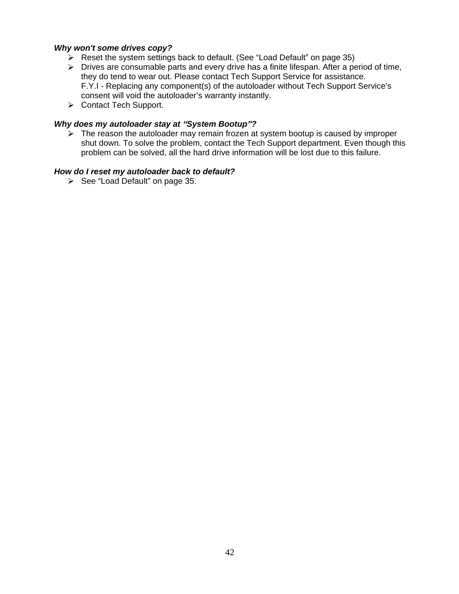#### **Why won't some drives copy?**

- $\triangleright$  Reset the system settings back to default. (See "Load Default" on page 35)
- $\triangleright$  Drives are consumable parts and every drive has a finite lifespan. After a period of time, they do tend to wear out. Please contact Tech Support Service for assistance. F.Y.I - Replacing any component(s) of the autoloader without Tech Support Service's consent will void the autoloader's warranty instantly.
- **►** Contact Tech Support.

#### **Why does my autoloader stay at System Bootup ?**

 $\triangleright$  The reason the autoloader may remain frozen at system bootup is caused by improper shut down. To solve the problem, contact the Tech Support department. Even though this problem can be solved, all the hard drive information will be lost due to this failure.

#### **How do I reset my autoloader back to default?**

 $\triangleright$  See "Load Default" on page 35.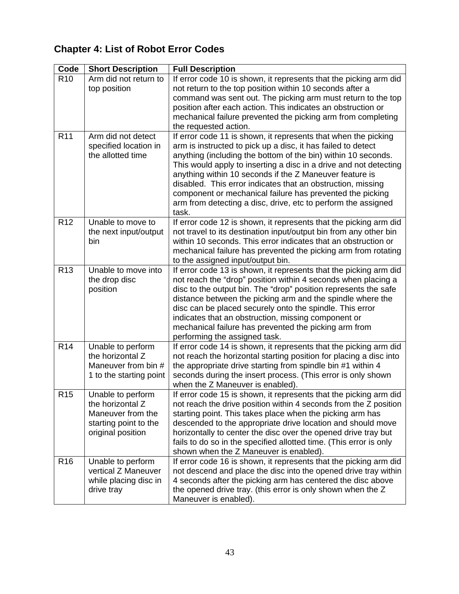## **Chapter 4: List of Robot Error Codes**

|                 | Code   Short Description | <b>Full Description</b>                                                                |
|-----------------|--------------------------|----------------------------------------------------------------------------------------|
| R <sub>10</sub> | Arm did not return to    | If error code 10 is shown, it represents that the picking arm did                      |
|                 | $\mid$ top position      | not return to the top position within 10 seconds after a                               |
|                 |                          | command was sent out. The picking arm must return to the top                           |
|                 |                          | position after each action. This indicates an obstruction or                           |
|                 |                          | mechanical failure prevented the picking arm from completing                           |
|                 |                          | the requested action.                                                                  |
| R <sub>11</sub> | Arm did not detect       | If error code 11 is shown, it represents that when the picking                         |
|                 | specified location in    | arm is instructed to pick up a disc, it has failed to detect                           |
|                 | the allotted time        | anything (including the bottom of the bin) within 10 seconds.                          |
|                 |                          | This would apply to inserting a disc in a drive and not detecting                      |
|                 |                          | anything within 10 seconds if the Z Maneuver feature is                                |
|                 |                          | disabled. This error indicates that an obstruction, missing                            |
|                 |                          | component or mechanical failure has prevented the picking                              |
|                 |                          | arm from detecting a disc, drive, etc to perform the assigned                          |
|                 |                          |                                                                                        |
| R <sub>12</sub> | Unable to move to        | If error code 12 is shown, it represents that the picking arm did                      |
|                 | the next input/output    | not travel to its destination input/output bin from any other bin                      |
|                 |                          | within 10 seconds. This error indicates that an obstruction or                         |
|                 |                          | mechanical failure has prevented the picking arm from rotating                         |
|                 |                          | to the assigned input/output bin.                                                      |
| R <sub>13</sub> | Unable to move into      | If error code 13 is shown, it represents that the picking arm did                      |
|                 | the drop disc            | not reach the "drop" position within 4 seconds when placing a                          |
|                 | position                 | disc to the output bin. The "drop" position represents the safe                        |
|                 |                          | distance between the picking arm and the spindle where the                             |
|                 |                          | disc can be placed securely onto the spindle. This error                               |
|                 |                          | indicates that an obstruction, missing component or                                    |
|                 |                          | mechanical failure has prevented the picking arm from                                  |
|                 |                          | performing the assigned task.                                                          |
| <b>R14</b>      | Unable to perform        | If error code 14 is shown, it represents that the picking arm did                      |
|                 | the horizontal Z         | not reach the horizontal starting position for placing a disc into                     |
|                 | Maneuver from bin #      | the appropriate drive starting from spindle bin #1 within 4                            |
|                 |                          | 1 to the starting point   seconds during the insert process. (This error is only shown |
|                 |                          | when the Z Maneuver is enabled).                                                       |
| R <sub>15</sub> | Unable to perform        | If error code 15 is shown, it represents that the picking arm did                      |
|                 | the horizontal Z         | not reach the drive position within 4 seconds from the Z position                      |
|                 | Maneuver from the        | starting point. This takes place when the picking arm has                              |
|                 | starting point to the    | descended to the appropriate drive location and should move                            |
|                 | original position        | horizontally to center the disc over the opened drive tray but                         |
|                 |                          | fails to do so in the specified allotted time. (This error is only                     |
|                 |                          | shown when the Z Maneuver is enabled).                                                 |
| R <sub>16</sub> | Unable to perform        | If error code 16 is shown, it represents that the picking arm did                      |
|                 | vertical Z Maneuver      | not descend and place the disc into the opened drive tray within                       |
|                 | while placing disc in    | 4 seconds after the picking arm has centered the disc above                            |
|                 | drive tray               | the opened drive tray. (this error is only shown when the Z                            |
|                 |                          | Maneuver is enabled).                                                                  |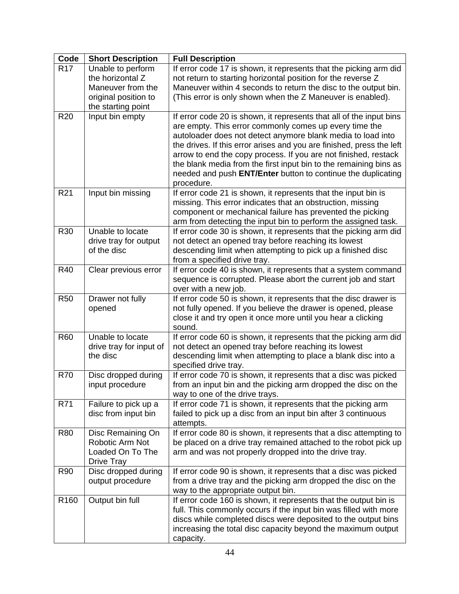|                 | Code   Short Description | <b>Full Description</b>                                               |
|-----------------|--------------------------|-----------------------------------------------------------------------|
| R <sub>17</sub> | Unable to perform        | If error code 17 is shown, it represents that the picking arm did     |
|                 | the horizontal Z         | not return to starting horizontal position for the reverse Z          |
|                 | Maneuver from the        | Maneuver within 4 seconds to return the disc to the output bin.       |
|                 | original position to     | (This error is only shown when the Z Maneuver is enabled).            |
|                 | the starting point       |                                                                       |
| <b>R20</b>      | Input bin empty          | If error code 20 is shown, it represents that all of the input bins   |
|                 |                          | are empty. This error commonly comes up every time the                |
|                 |                          | autoloader does not detect anymore blank media to load into           |
|                 |                          | the drives. If this error arises and you are finished, press the left |
|                 |                          |                                                                       |
|                 |                          | arrow to end the copy process. If you are not finished, restack       |
|                 |                          | the blank media from the first input bin to the remaining bins as     |
|                 |                          | needed and push ENT/Enter button to continue the duplicating          |
|                 |                          | procedure.                                                            |
| <b>R21</b>      | Input bin missing        | If error code 21 is shown, it represents that the input bin is        |
|                 |                          | missing. This error indicates that an obstruction, missing            |
|                 |                          | component or mechanical failure has prevented the picking             |
|                 |                          | arm from detecting the input bin to perform the assigned task.        |
| R30             | Unable to locate         | If error code 30 is shown, it represents that the picking arm did     |
|                 | drive tray for output    | not detect an opened tray before reaching its lowest                  |
|                 | of the disc              | descending limit when attempting to pick up a finished disc           |
|                 |                          | from a specified drive tray.                                          |
| R40             | Clear previous error     | If error code 40 is shown, it represents that a system command        |
|                 |                          | sequence is corrupted. Please abort the current job and start         |
|                 |                          | over with a new job.                                                  |
| <b>R50</b>      | Drawer not fully         | If error code 50 is shown, it represents that the disc drawer is      |
|                 | opened                   | not fully opened. If you believe the drawer is opened, please         |
|                 |                          | close it and try open it once more until you hear a clicking          |
|                 |                          | sound.                                                                |
| <b>R60</b>      | Unable to locate         | If error code 60 is shown, it represents that the picking arm did     |
|                 | drive tray for input of  | not detect an opened tray before reaching its lowest                  |
|                 | the disc                 | descending limit when attempting to place a blank disc into a         |
|                 |                          | specified drive tray.                                                 |
| <b>R70</b>      | Disc dropped during      | If error code 70 is shown, it represents that a disc was picked       |
|                 | input procedure          | from an input bin and the picking arm dropped the disc on the         |
|                 |                          | way to one of the drive trays.                                        |
| <b>R71</b>      | Failure to pick up a     | If error code 71 is shown, it represents that the picking arm         |
|                 | disc from input bin      | failed to pick up a disc from an input bin after 3 continuous         |
|                 |                          | attempts.                                                             |
| <b>R80</b>      | Disc Remaining On        | If error code 80 is shown, it represents that a disc attempting to    |
|                 | Robotic Arm Not          | be placed on a drive tray remained attached to the robot pick up      |
|                 | Loaded On To The         | arm and was not properly dropped into the drive tray.                 |
|                 | Drive Tray               |                                                                       |
| R90             | Disc dropped during      | If error code 90 is shown, it represents that a disc was picked       |
|                 | output procedure         | from a drive tray and the picking arm dropped the disc on the         |
|                 |                          | way to the appropriate output bin.                                    |
|                 | R160   Output bin full   | If error code 160 is shown, it represents that the output bin is      |
|                 |                          | full. This commonly occurs if the input bin was filled with more      |
|                 |                          | discs while completed discs were deposited to the output bins         |
|                 |                          | increasing the total disc capacity beyond the maximum output          |
|                 |                          | capacity.                                                             |
|                 |                          |                                                                       |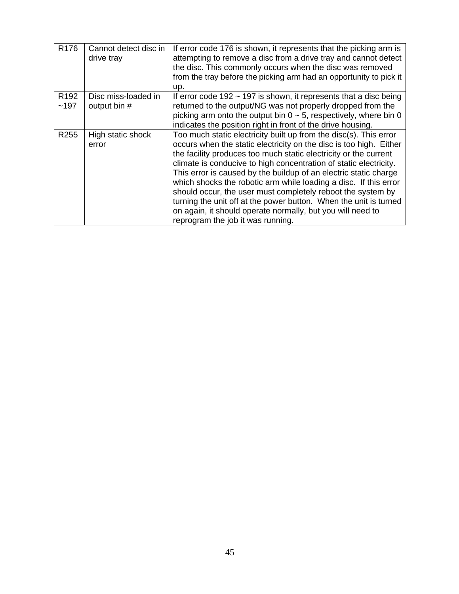|                                   | $\sqrt{R176}$ Cannot detect disc in   If error code 176 is shown, it represents that the picking arm is |
|-----------------------------------|---------------------------------------------------------------------------------------------------------|
| drive tray                        | attempting to remove a disc from a drive tray and cannot detect                                         |
|                                   | the disc. This commonly occurs when the disc was removed                                                |
|                                   | from the tray before the picking arm had an opportunity to pick it                                      |
|                                   |                                                                                                         |
| R192 Disc miss-loaded in          | If error code 192 $\sim$ 197 is shown, it represents that a disc being                                  |
| $\vert$ ~197 $\vert$ output bin # | returned to the output/NG was not properly dropped from the                                             |
|                                   | picking arm onto the output bin $0 \sim 5$ , respectively, where bin 0                                  |
|                                   | indicates the position right in front of the drive housing.                                             |
| R255 High static shock            | Too much static electricity built up from the disc(s). This error                                       |
| error                             | occurs when the static electricity on the disc is too high. Either                                      |
|                                   | the facility produces too much static electricity or the current                                        |
|                                   | climate is conducive to high concentration of static electricity.                                       |
|                                   | This error is caused by the buildup of an electric static charge                                        |
|                                   | which shocks the robotic arm while loading a disc. If this error                                        |
|                                   | should occur, the user must completely reboot the system by                                             |
|                                   | turning the unit off at the power button. When the unit is turned                                       |
|                                   | on again, it should operate normally, but you will need to                                              |
|                                   | reprogram the job it was running.                                                                       |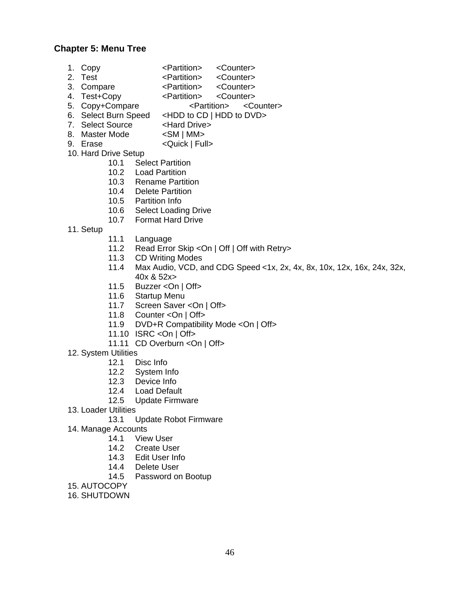#### **Chapter 5: Menu Tree**

- 1. Copy <Partition> <Counter>
- 2. Test <Partition> <Counter>
- 3. Compare <Partition> <Counter>
- 4. Test+Copy <Partition> <Counter>

5. Copy+Compare <Partition> <Counter>

- 6. Select Burn Speed <HDD to CD | HDD to DVD>
- 7. Select Source <Hard Drive>
- 8. Master Mode  $\leq$ SM | MM>
- 9. Erase <Quick | Full>
- 10. Hard Drive Setup
	- 10.1 Select Partition
	- 10.2 Load Partition
	- 10.3 Rename Partition
	- 10.4 Delete Partition
	- 10.5 Partition Info
	- 10.6 Select Loading Drive
	- 10.7 Format Hard Drive
- 11. Setup
	- 11.1 Language
	- 11.2 Read Error Skip < On | Off | Off with Retry>
	- 11.3 CD Writing Modes
	- 11.4 Max Audio, VCD, and CDG Speed <1x, 2x, 4x, 8x, 10x, 12x, 16x, 24x, 32x, 40x & 52x>
	- 11.5 Buzzer <On | Off>
	- 11.6 Startup Menu
	- 11.7 Screen Saver <On | Off>
	- 11.8 Counter <On | Off>
	- 11.9 DVD+R Compatibility Mode <On | Off>
	- 11.10 ISRC <On | Off>
	- 11.11 CD Overburn < On | Off>
- 12. System Utilities
	- 12.1 Disc Info
	- 12.2 System Info
	- 12.3 Device Info
	- 12.4 Load Default
	- 12.5 Update Firmware
- 13. Loader Utilities

13.1 Update Robot Firmware

- 14. Manage Accounts
	- 14.1 View User
	- 14.2 Create User
	- 14.3 Edit User Info
	- 14.4 Delete User
- 14.5 Password on Bootup<br>15. AUTOCOPY
- 15. AUTOCOPY
- 16. SHUTDOWN